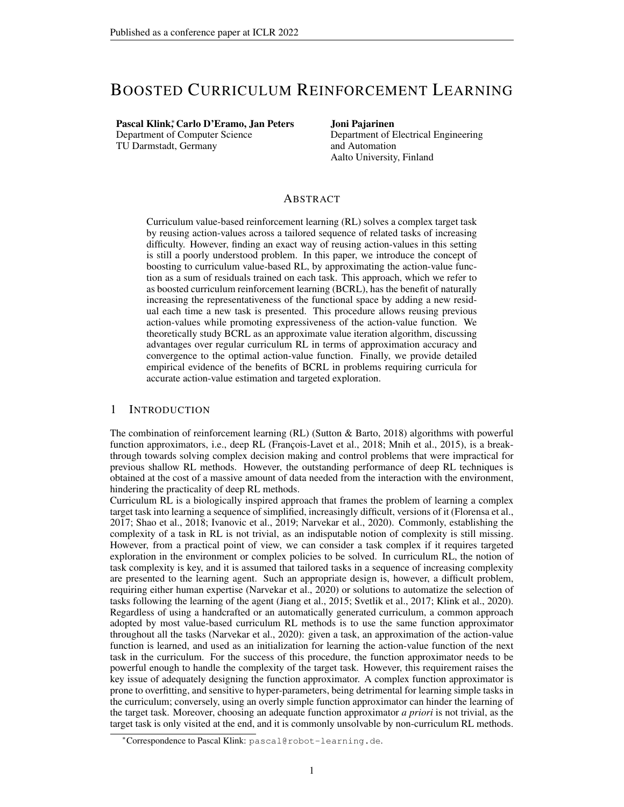# BOOSTED CURRICULUM REINFORCEMENT LEARNING

# Pascal Klink<sup>\*</sup>, Carlo D'Eramo, Jan Peters

Department of Computer Science TU Darmstadt, Germany

#### Joni Pajarinen

Department of Electrical Engineering and Automation Aalto University, Finland

# ABSTRACT

Curriculum value-based reinforcement learning (RL) solves a complex target task by reusing action-values across a tailored sequence of related tasks of increasing difficulty. However, finding an exact way of reusing action-values in this setting is still a poorly understood problem. In this paper, we introduce the concept of boosting to curriculum value-based RL, by approximating the action-value function as a sum of residuals trained on each task. This approach, which we refer to as boosted curriculum reinforcement learning (BCRL), has the benefit of naturally increasing the representativeness of the functional space by adding a new residual each time a new task is presented. This procedure allows reusing previous action-values while promoting expressiveness of the action-value function. We theoretically study BCRL as an approximate value iteration algorithm, discussing advantages over regular curriculum RL in terms of approximation accuracy and convergence to the optimal action-value function. Finally, we provide detailed empirical evidence of the benefits of BCRL in problems requiring curricula for accurate action-value estimation and targeted exploration.

# 1 INTRODUCTION

The combination of reinforcement learning (RL) (Sutton & Barto, 2018) algorithms with powerful function approximators, i.e., deep RL (François-Lavet et al., 2018; Mnih et al., 2015), is a breakthrough towards solving complex decision making and control problems that were impractical for previous shallow RL methods. However, the outstanding performance of deep RL techniques is obtained at the cost of a massive amount of data needed from the interaction with the environment, hindering the practicality of deep RL methods.

Curriculum RL is a biologically inspired approach that frames the problem of learning a complex target task into learning a sequence of simplified, increasingly difficult, versions of it (Florensa et al., 2017; Shao et al., 2018; Ivanovic et al., 2019; Narvekar et al., 2020). Commonly, establishing the complexity of a task in RL is not trivial, as an indisputable notion of complexity is still missing. However, from a practical point of view, we can consider a task complex if it requires targeted exploration in the environment or complex policies to be solved. In curriculum RL, the notion of task complexity is key, and it is assumed that tailored tasks in a sequence of increasing complexity are presented to the learning agent. Such an appropriate design is, however, a difficult problem, requiring either human expertise (Narvekar et al., 2020) or solutions to automatize the selection of tasks following the learning of the agent (Jiang et al., 2015; Svetlik et al., 2017; Klink et al., 2020). Regardless of using a handcrafted or an automatically generated curriculum, a common approach adopted by most value-based curriculum RL methods is to use the same function approximator throughout all the tasks (Narvekar et al., 2020): given a task, an approximation of the action-value function is learned, and used as an initialization for learning the action-value function of the next task in the curriculum. For the success of this procedure, the function approximator needs to be powerful enough to handle the complexity of the target task. However, this requirement raises the key issue of adequately designing the function approximator. A complex function approximator is prone to overfitting, and sensitive to hyper-parameters, being detrimental for learning simple tasks in the curriculum; conversely, using an overly simple function approximator can hinder the learning of the target task. Moreover, choosing an adequate function approximator *a priori* is not trivial, as the target task is only visited at the end, and it is commonly unsolvable by non-curriculum RL methods.

<sup>∗</sup>Correspondence to Pascal Klink: pascal@robot-learning.de.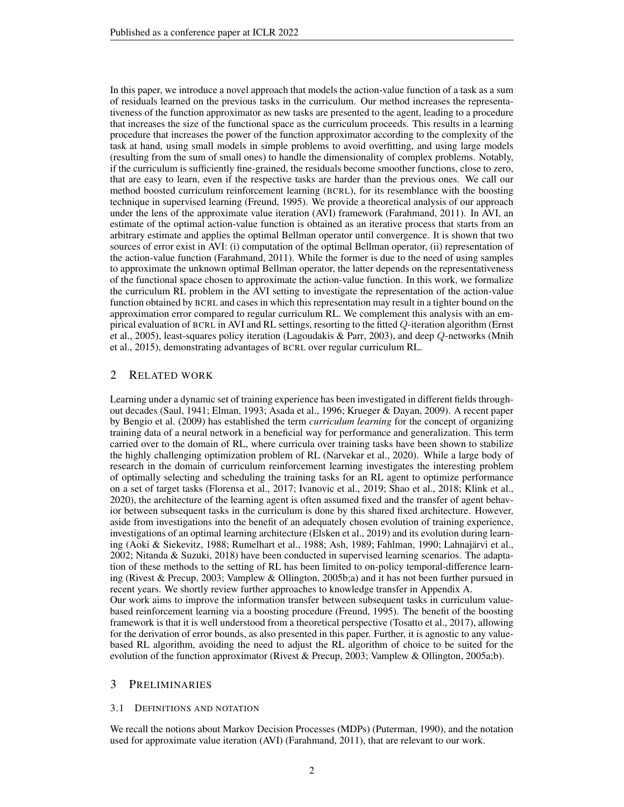In this paper, we introduce a novel approach that models the action-value function of a task as a sum of residuals learned on the previous tasks in the curriculum. Our method increases the representativeness of the function approximator as new tasks are presented to the agent, leading to a procedure that increases the size of the functional space as the curriculum proceeds. This results in a learning procedure that increases the power of the function approximator according to the complexity of the task at hand, using small models in simple problems to avoid overfitting, and using large models (resulting from the sum of small ones) to handle the dimensionality of complex problems. Notably, if the curriculum is sufficiently fine-grained, the residuals become smoother functions, close to zero, that are easy to learn, even if the respective tasks are harder than the previous ones. We call our method boosted curriculum reinforcement learning (BCRL), for its resemblance with the boosting technique in supervised learning (Freund, 1995). We provide a theoretical analysis of our approach under the lens of the approximate value iteration (AVI) framework (Farahmand, 2011). In AVI, an estimate of the optimal action-value function is obtained as an iterative process that starts from an arbitrary estimate and applies the optimal Bellman operator until convergence. It is shown that two sources of error exist in AVI: (i) computation of the optimal Bellman operator, (ii) representation of the action-value function (Farahmand, 2011). While the former is due to the need of using samples to approximate the unknown optimal Bellman operator, the latter depends on the representativeness of the functional space chosen to approximate the action-value function. In this work, we formalize the curriculum RL problem in the AVI setting to investigate the representation of the action-value function obtained by BCRL and cases in which this representation may result in a tighter bound on the approximation error compared to regular curriculum RL. We complement this analysis with an empirical evaluation of BCRL in AVI and RL settings, resorting to the fitted Q-iteration algorithm (Ernst et al., 2005), least-squares policy iteration (Lagoudakis & Parr, 2003), and deep Q-networks (Mnih et al., 2015), demonstrating advantages of BCRL over regular curriculum RL.

# 2 RELATED WORK

Learning under a dynamic set of training experience has been investigated in different fields throughout decades (Saul, 1941; Elman, 1993; Asada et al., 1996; Krueger & Dayan, 2009). A recent paper by Bengio et al. (2009) has established the term *curriculum learning* for the concept of organizing training data of a neural network in a beneficial way for performance and generalization. This term carried over to the domain of RL, where curricula over training tasks have been shown to stabilize the highly challenging optimization problem of RL (Narvekar et al., 2020). While a large body of research in the domain of curriculum reinforcement learning investigates the interesting problem of optimally selecting and scheduling the training tasks for an RL agent to optimize performance on a set of target tasks (Florensa et al., 2017; Ivanovic et al., 2019; Shao et al., 2018; Klink et al., 2020), the architecture of the learning agent is often assumed fixed and the transfer of agent behavior between subsequent tasks in the curriculum is done by this shared fixed architecture. However, aside from investigations into the benefit of an adequately chosen evolution of training experience, investigations of an optimal learning architecture (Elsken et al., 2019) and its evolution during learning (Aoki & Siekevitz, 1988; Rumelhart et al., 1988; Ash, 1989; Fahlman, 1990; Lahnajärvi et al., 2002; Nitanda & Suzuki, 2018) have been conducted in supervised learning scenarios. The adaptation of these methods to the setting of RL has been limited to on-policy temporal-difference learning (Rivest & Precup, 2003; Vamplew & Ollington, 2005b;a) and it has not been further pursued in recent years. We shortly review further approaches to knowledge transfer in Appendix A. Our work aims to improve the information transfer between subsequent tasks in curriculum valuebased reinforcement learning via a boosting procedure (Freund, 1995). The benefit of the boosting framework is that it is well understood from a theoretical perspective (Tosatto et al., 2017), allowing for the derivation of error bounds, as also presented in this paper. Further, it is agnostic to any valuebased RL algorithm, avoiding the need to adjust the RL algorithm of choice to be suited for the evolution of the function approximator (Rivest & Precup, 2003; Vamplew & Ollington, 2005a;b).

### 3 PRELIMINARIES

### 3.1 DEFINITIONS AND NOTATION

We recall the notions about Markov Decision Processes (MDPs) (Puterman, 1990), and the notation used for approximate value iteration (AVI) (Farahmand, 2011), that are relevant to our work.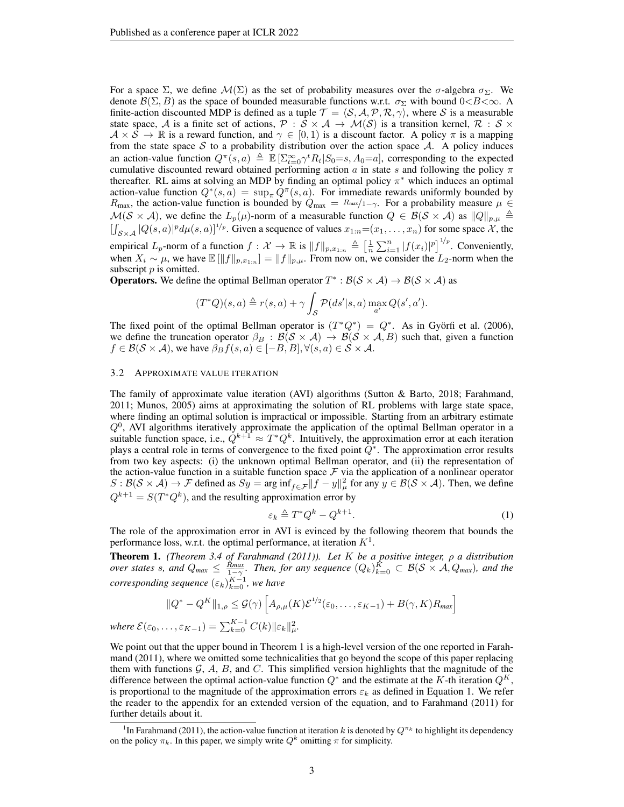For a space  $\Sigma$ , we define  $\mathcal{M}(\Sigma)$  as the set of probability measures over the  $\sigma$ -algebra  $\sigma_{\Sigma}$ . We denote  $\mathcal{B}(\Sigma, B)$  as the space of bounded measurable functions w.r.t.  $\sigma_{\Sigma}$  with bound  $0 < B < \infty$ . A finite-action discounted MDP is defined as a tuple  $\mathcal{T} = \langle \mathcal{S}, \mathcal{A}, \mathcal{P}, \mathcal{R}, \gamma \rangle$ , where S is a measurable state space, A is a finite set of actions,  $P : S \times A \rightarrow M(S)$  is a transition kernel,  $R : S \times A \rightarrow M(S)$  $A \times S \to \mathbb{R}$  is a reward function, and  $\gamma \in [0,1)$  is a discount factor. A policy  $\pi$  is a mapping from the state space  $S$  to a probability distribution over the action space  $A$ . A policy induces an action-value function  $Q^{\pi}(s, a) \triangleq \mathbb{E} \left[\sum_{t=0}^{\infty} \gamma^t R_t | S_0 = s, A_0 = a \right]$ , corresponding to the expected cumulative discounted reward obtained performing action a in state s and following the policy  $\pi$ thereafter. RL aims at solving an MDP by finding an optimal policy  $\pi^*$  which induces an optimal action-value function  $Q^*(s, a) = \sup_{\pi} Q^{\pi}(s, a)$ . For immediate rewards uniformly bounded by  $R_{\text{max}}$ , the action-value function is bounded by  $Q_{\text{max}} = R_{\text{max}}/1-\gamma$ . For a probability measure  $\mu \in$  $\mathcal{M}(\mathcal{S} \times \mathcal{A})$ , we define the  $L_p(\mu)$ -norm of a measurable function  $Q \in \mathcal{B}(\mathcal{S} \times \mathcal{A})$  as  $||Q||_{p,\mu} \triangleq$  $[\int_{\mathcal{S}\times\mathcal{A}}|Q(s,a)|^p d\mu(s,a)]^{1/p}$ . Given a sequence of values  $x_{1:n}=(x_1,\ldots,x_n)$  for some space X, the empirical  $L_p$ -norm of a function  $f: \mathcal{X} \to \mathbb{R}$  is  $||f||_{p,x_{1:n}} \triangleq \left[\frac{1}{n} \sum_{i=1}^n |f(x_i)|^p\right]^{1/p}$ . Conveniently, when  $X_i \sim \mu$ , we have  $\mathbb{E}[\|f\|_{p,x_{1:n}}] = \|f\|_{p,\mu}$ . From now on, we consider the  $L_2$ -norm when the subscript  $p$  is omitted.

**Operators.** We define the optimal Bellman operator  $T^* : \mathcal{B}(\mathcal{S} \times \mathcal{A}) \to \mathcal{B}(\mathcal{S} \times \mathcal{A})$  as

$$
(T^*Q)(s,a) \triangleq r(s,a) + \gamma \int_{\mathcal{S}} \mathcal{P}(ds'|s,a) \max_{a'} Q(s',a').
$$

The fixed point of the optimal Bellman operator is  $(T^*Q^*) = Q^*$ . As in Györfi et al. (2006), we define the truncation operator  $\beta_B : \mathcal{B}(\mathcal{S} \times \mathcal{A}) \to \mathcal{B}(\mathcal{S} \times \mathcal{A}, B)$  such that, given a function  $f \in \mathcal{B}(\mathcal{S} \times \mathcal{A})$ , we have  $\beta_B f(s, a) \in [-B, B], \forall (s, a) \in \mathcal{S} \times \mathcal{A}$ .

#### 3.2 APPROXIMATE VALUE ITERATION

 $where \mathcal{E}(\mathcal{E})$ 

The family of approximate value iteration (AVI) algorithms (Sutton & Barto, 2018; Farahmand, 2011; Munos, 2005) aims at approximating the solution of RL problems with large state space, where finding an optimal solution is impractical or impossible. Starting from an arbitrary estimate  $Q<sup>0</sup>$ , AVI algorithms iteratively approximate the application of the optimal Bellman operator in a suitable function space, i.e.,  $Q^{k+1} \approx T^*Q^k$ . Intuitively, the approximation error at each iteration plays a central role in terms of convergence to the fixed point  $\hat{Q}^*$ . The approximation error results from two key aspects: (i) the unknown optimal Bellman operator, and (ii) the representation of the action-value function in a suitable function space  $\mathcal F$  via the application of a nonlinear operator  $S : \mathcal{B}(\mathcal{S} \times \mathcal{A}) \to \mathcal{F}$  defined as  $Sy = \arg \inf_{f \in \mathcal{F}} ||f - y||^2_{\mu}$  for any  $y \in \mathcal{B}(\mathcal{S} \times \mathcal{A})$ . Then, we define  $Q^{k+1} = S(T^*Q^k)$ , and the resulting approximation error by

$$
\varepsilon_k \triangleq T^* Q^k - Q^{k+1}.\tag{1}
$$

The role of the approximation error in AVI is evinced by the following theorem that bounds the performance loss, w.r.t. the optimal performance, at iteration  $K^1$ .

Theorem 1. *(Theorem 3.4 of Farahmand (2011)). Let* K *be a positive integer,* ρ *a distribution over states s, and*  $Q_{max} \le \frac{R_{max}}{1-\gamma}$ . Then, for any sequence  $(Q_k)_{k=0}^K \subset \mathcal{B}(\mathcal{S} \times \mathcal{A}, Q_{max})$ , and the  $corresponding sequence  $(\varepsilon_k)_{k=0}^{K-1}$ , we have$ 

$$
||Q^* - Q^K||_{1,\rho} \leq \mathcal{G}(\gamma) \left[ A_{\rho,\mu}(K) \mathcal{E}^{1/2}(\varepsilon_0, \dots, \varepsilon_{K-1}) + B(\gamma, K) R_{\text{max}} \right]
$$
  

$$
\varepsilon_0, \dots, \varepsilon_{K-1}) = \sum_{k=0}^{K-1} C(k) ||\varepsilon_k||_{\mu}^2.
$$

We point out that the upper bound in Theorem 1 is a high-level version of the one reported in Farahmand (2011), where we omitted some technicalities that go beyond the scope of this paper replacing them with functions  $\mathcal{G}, \mathcal{A}, \mathcal{B}, \mathcal{A}, \mathcal{C}$ . This simplified version highlights that the magnitude of the difference between the optimal action-value function  $Q^*$  and the estimate at the K-th iteration  $Q^K$ , is proportional to the magnitude of the approximation errors  $\varepsilon_k$  as defined in Equation 1. We refer the reader to the appendix for an extended version of the equation, and to Farahmand (2011) for further details about it.

<sup>&</sup>lt;sup>1</sup>In Farahmand (2011), the action-value function at iteration k is denoted by  $Q^{\pi_k}$  to highlight its dependency on the policy  $\pi_k$ . In this paper, we simply write  $Q^k$  omitting  $\pi$  for simplicity.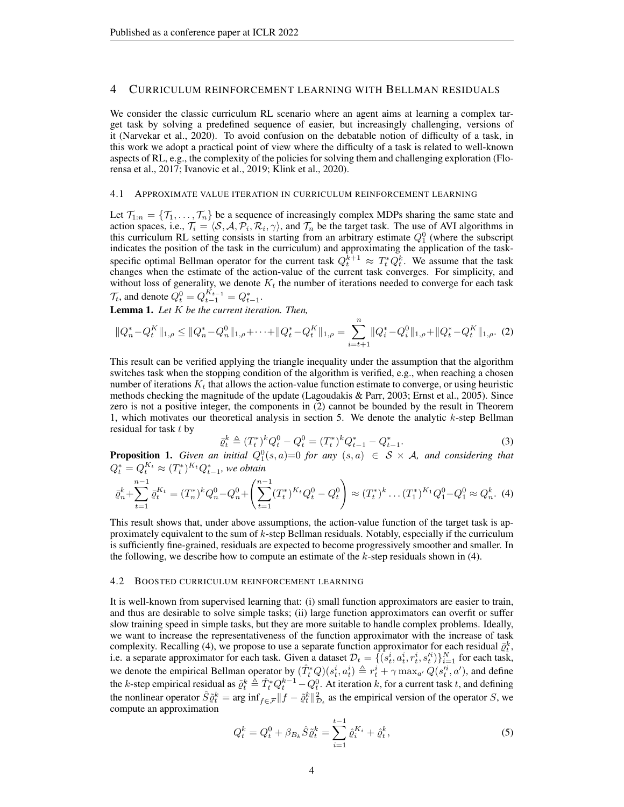# 4 CURRICULUM REINFORCEMENT LEARNING WITH BELLMAN RESIDUALS

We consider the classic curriculum RL scenario where an agent aims at learning a complex target task by solving a predefined sequence of easier, but increasingly challenging, versions of it (Narvekar et al., 2020). To avoid confusion on the debatable notion of difficulty of a task, in this work we adopt a practical point of view where the difficulty of a task is related to well-known aspects of RL, e.g., the complexity of the policies for solving them and challenging exploration (Florensa et al., 2017; Ivanovic et al., 2019; Klink et al., 2020).

#### 4.1 APPROXIMATE VALUE ITERATION IN CURRICULUM REINFORCEMENT LEARNING

Let  $\mathcal{T}_{1:n} = \{\mathcal{T}_1, \ldots, \mathcal{T}_n\}$  be a sequence of increasingly complex MDPs sharing the same state and action spaces, i.e.,  $\mathcal{T}_i = \langle \mathcal{S}, \mathcal{A}, \mathcal{P}_i, \mathcal{R}_i, \gamma \rangle$ , and  $\mathcal{T}_n$  be the target task. The use of AVI algorithms in this curriculum RL setting consists in starting from an arbitrary estimate  $Q_1^0$  (where the subscript indicates the position of the task in the curriculum) and approximating the application of the taskspecific optimal Bellman operator for the current task  $Q_t^{k+1} \approx T_t^* Q_t^k$ . We assume that the task changes when the estimate of the action-value of the current task converges. For simplicity, and without loss of generality, we denote  $K_t$  the number of iterations needed to converge for each task  $\mathcal{T}_t$ , and denote  $Q_t^0 = Q_{t-1}^{K_{t-1}} = Q_{t-1}^*$ .

Lemma 1. *Let* K *be the current iteration. Then,*

$$
||Q_n^* - Q_t^K||_{1,\rho} \le ||Q_n^* - Q_n^0||_{1,\rho} + \dots + ||Q_t^* - Q_t^K||_{1,\rho} = \sum_{i=t+1}^n ||Q_i^* - Q_i^0||_{1,\rho} + ||Q_t^* - Q_t^K||_{1,\rho}.
$$
 (2)

This result can be verified applying the triangle inequality under the assumption that the algorithm switches task when the stopping condition of the algorithm is verified, e.g., when reaching a chosen number of iterations  $K_t$  that allows the action-value function estimate to converge, or using heuristic methods checking the magnitude of the update (Lagoudakis & Parr, 2003; Ernst et al., 2005). Since zero is not a positive integer, the components in (2) cannot be bounded by the result in Theorem 1, which motivates our theoretical analysis in section 5. We denote the analytic k-step Bellman residual for task  $t$  by

$$
\bar{\varrho}_t^k \triangleq (T_t^*)^k Q_t^0 - Q_t^0 = (T_t^*)^k Q_{t-1}^* - Q_{t-1}^*.
$$
\n(3)

**Proposition 1.** *Given an initial*  $Q_1^0(s, a) = 0$  *for any*  $(s, a) \in S \times A$ *, and considering that*  $Q_t^* = Q_t^{K_t} \approx (T_t^*)^{K_t} Q_{t-1}^*$ , we obtain

$$
\bar{\varrho}_n^k + \sum_{t=1}^{n-1} \bar{\varrho}_t^{K_t} = (T_n^*)^k Q_n^0 - Q_n^0 + \left( \sum_{t=1}^{n-1} (T_t^*)^{K_t} Q_t^0 - Q_t^0 \right) \approx (T_t^*)^k \dots (T_1^*)^{K_1} Q_1^0 - Q_1^0 \approx Q_n^k. \tag{4}
$$

This result shows that, under above assumptions, the action-value function of the target task is approximately equivalent to the sum of k-step Bellman residuals. Notably, especially if the curriculum is sufficiently fine-grained, residuals are expected to become progressively smoother and smaller. In the following, we describe how to compute an estimate of the  $k$ -step residuals shown in (4).

#### 4.2 BOOSTED CURRICULUM REINFORCEMENT LEARNING

It is well-known from supervised learning that: (i) small function approximators are easier to train, and thus are desirable to solve simple tasks; (ii) large function approximators can overfit or suffer slow training speed in simple tasks, but they are more suitable to handle complex problems. Ideally, we want to increase the representativeness of the function approximator with the increase of task complexity. Recalling (4), we propose to use a separate function approximator for each residual  $\bar{\varrho}_t^k$ , i.e. a separate approximator for each task. Given a dataset  $\mathcal{D}_t = \{ (s_t^i, a_t^i, r_t^i, s_t^i) \}_{i=1}^N$  for each task, we denote the empirical Bellman operator by  $(\hat{T}_t^*Q)(s_t^i, a_t^i) \triangleq r_t^i + \gamma \max_{a'} Q(s_t^{i_i}, a')$ , and define the k-step empirical residual as  $\tilde{\varrho}_t^k \triangleq \hat{T}_t^* Q_t^{k-1} - Q_t^0$ . At iteration k, for a current task t, and defining the nonlinear operator  $\hat{S} \tilde{\varrho}_t^k = \arg \inf_{f \in \mathcal{F}} ||f - \tilde{\varrho}_t^k||^2_{\mathcal{D}_t}$  as the empirical version of the operator S, we compute an approximation

$$
Q_t^k = Q_t^0 + \beta_{B_k} \hat{S} \tilde{\varrho}_t^k = \sum_{i=1}^{t-1} \hat{\varrho}_i^{K_i} + \hat{\varrho}_t^k,
$$
\n(5)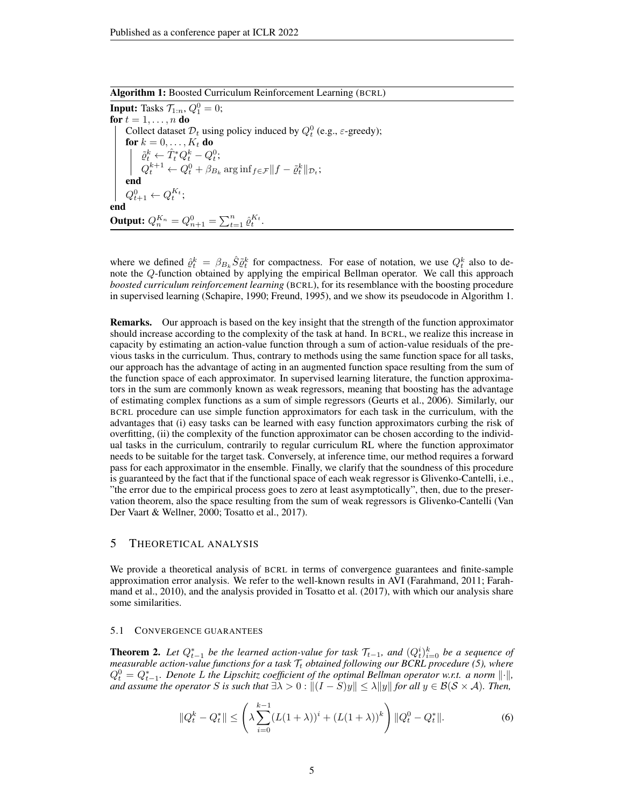Algorithm 1: Boosted Curriculum Reinforcement Learning (BCRL)

**Input:** Tasks  $\mathcal{T}_{1:n}$ ,  $Q_1^0 = 0$ ; for  $t = 1, \ldots, n$  do Collect dataset  $\mathcal{D}_t$  using policy induced by  $Q_t^0$  (e.g.,  $\varepsilon$ -greedy); for  $k = 0, \ldots, K_t$  do  $\tilde{\varrho}_t^k \leftarrow \hat{T}_t^* Q_t^k - Q_t^0;$  $Q_t^{k+1} \leftarrow Q_t^0 + \beta_{B_k} \arg\inf_{f \in \mathcal{F}} ||f - \tilde{\varrho}_t^k||_{\mathcal{D}_t};$ end  $Q_{t+1}^{0} \leftarrow Q_{t}^{K_t};$ end Output:  $Q_n^{K_n} = Q_{n+1}^0 = \sum_{t=1}^n \hat{\varrho}_t^{K_t}.$ 

where we defined  $\hat{\varrho}_t^k = \beta_{B_k} \hat{S} \tilde{\varrho}_t^k$  for compactness. For ease of notation, we use  $Q_t^k$  also to denote the Q-function obtained by applying the empirical Bellman operator. We call this approach *boosted curriculum reinforcement learning* (BCRL), for its resemblance with the boosting procedure in supervised learning (Schapire, 1990; Freund, 1995), and we show its pseudocode in Algorithm 1.

Remarks. Our approach is based on the key insight that the strength of the function approximator should increase according to the complexity of the task at hand. In BCRL, we realize this increase in capacity by estimating an action-value function through a sum of action-value residuals of the previous tasks in the curriculum. Thus, contrary to methods using the same function space for all tasks, our approach has the advantage of acting in an augmented function space resulting from the sum of the function space of each approximator. In supervised learning literature, the function approximators in the sum are commonly known as weak regressors, meaning that boosting has the advantage of estimating complex functions as a sum of simple regressors (Geurts et al., 2006). Similarly, our BCRL procedure can use simple function approximators for each task in the curriculum, with the advantages that (i) easy tasks can be learned with easy function approximators curbing the risk of overfitting, (ii) the complexity of the function approximator can be chosen according to the individual tasks in the curriculum, contrarily to regular curriculum RL where the function approximator needs to be suitable for the target task. Conversely, at inference time, our method requires a forward pass for each approximator in the ensemble. Finally, we clarify that the soundness of this procedure is guaranteed by the fact that if the functional space of each weak regressor is Glivenko-Cantelli, i.e., "the error due to the empirical process goes to zero at least asymptotically", then, due to the preservation theorem, also the space resulting from the sum of weak regressors is Glivenko-Cantelli (Van Der Vaart & Wellner, 2000; Tosatto et al., 2017).

### 5 THEORETICAL ANALYSIS

We provide a theoretical analysis of BCRL in terms of convergence guarantees and finite-sample approximation error analysis. We refer to the well-known results in AVI (Farahmand, 2011; Farahmand et al., 2010), and the analysis provided in Tosatto et al. (2017), with which our analysis share some similarities.

#### 5.1 CONVERGENCE GUARANTEES

**Theorem 2.** Let  $Q_{t-1}^*$  be the learned action-value for task  $\mathcal{T}_{t-1}$ , and  $(Q_t^i)_{i=0}^k$  be a sequence of *measurable action-value functions for a task*  $T_t$  *obtained following our BCRL procedure (5), where*  $Q_t^0 = Q_{t-1}^*$ . Denote L the Lipschitz coefficient of the optimal Bellman operator w.r.t. a norm  $\lVert \cdot \rVert$ , *and assume the operator* S *is such that*  $\exists \lambda > 0 : ||(I - S)y|| \leq \lambda ||y||$  *for all*  $y \in \mathcal{B}(\mathcal{S} \times \mathcal{A})$ *. Then,* 

$$
||Q_t^k - Q_t^*|| \le \left(\lambda \sum_{i=0}^{k-1} (L(1+\lambda))^i + (L(1+\lambda))^k\right) ||Q_t^0 - Q_t^*||. \tag{6}
$$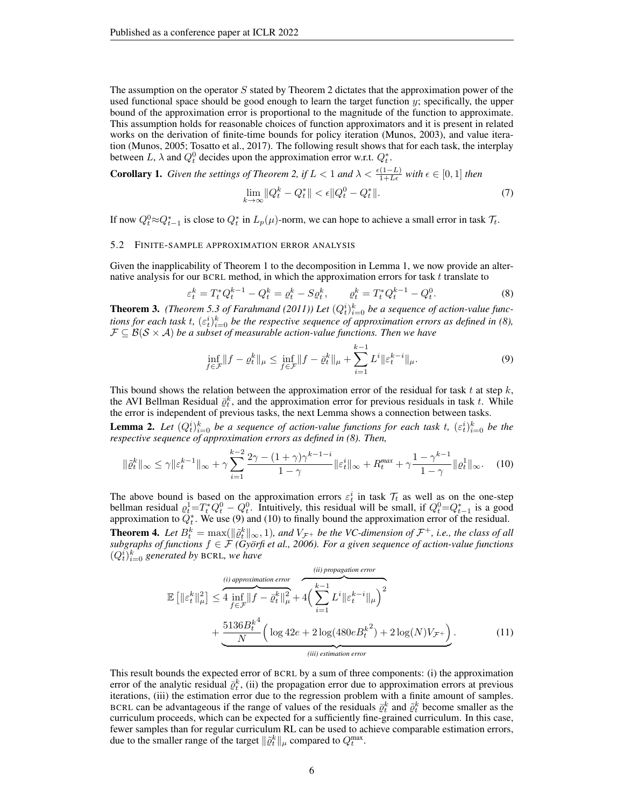The assumption on the operator  $S$  stated by Theorem 2 dictates that the approximation power of the used functional space should be good enough to learn the target function  $y$ ; specifically, the upper bound of the approximation error is proportional to the magnitude of the function to approximate. This assumption holds for reasonable choices of function approximators and it is present in related works on the derivation of finite-time bounds for policy iteration (Munos, 2003), and value iteration (Munos, 2005; Tosatto et al., 2017). The following result shows that for each task, the interplay between L,  $\lambda$  and  $Q_t^0$  decides upon the approximation error w.r.t.  $Q_t^*$ .

**Corollary 1.** *Given the settings of Theorem 2, if*  $L < 1$  *and*  $\lambda < \frac{\epsilon(1-L)}{1+L\epsilon}$  *with*  $\epsilon \in [0,1]$  *then* 

$$
\lim_{k \to \infty} ||Q_t^k - Q_t^*|| < \epsilon ||Q_t^0 - Q_t^*||. \tag{7}
$$

If now  $Q_t^0 \approx Q_{t-1}^*$  is close to  $Q_t^*$  in  $L_p(\mu)$ -norm, we can hope to achieve a small error in task  $\mathcal{T}_t$ .

### 5.2 FINITE-SAMPLE APPROXIMATION ERROR ANALYSIS

Given the inapplicability of Theorem 1 to the decomposition in Lemma 1, we now provide an alternative analysis for our BCRL method, in which the approximation errors for task  $t$  translate to

$$
\varepsilon_t^k = T_t^* Q_t^{k-1} - Q_t^k = \varrho_t^k - S \varrho_t^k, \qquad \varrho_t^k = T_t^* Q_t^{k-1} - Q_t^0. \tag{8}
$$

**Theorem 3.** (Theorem 5.3 of Farahmand (2011)) Let  $(Q_t^i)_{i=0}^k$  be a sequence of action-value functions for each task t,  $(\varepsilon_t^i)_{i=0}^k$  be the respective sequence of approximation errors as defined in (8),  $\mathcal{F} \subseteq \mathcal{B}(\mathcal{S} \times \mathcal{A})$  *be a subset of measurable action-value functions. Then we have* 

$$
\inf_{f \in \mathcal{F}} \|f - \varrho_t^k\|_{\mu} \le \inf_{f \in \mathcal{F}} \|f - \bar{\varrho}_t^k\|_{\mu} + \sum_{i=1}^{k-1} L^i \|\varepsilon_t^{k-i}\|_{\mu}.
$$
\n(9)

This bound shows the relation between the approximation error of the residual for task t at step  $k$ , the AVI Bellman Residual  $\bar{\varrho}_t^k$ , and the approximation error for previous residuals in task t. While the error is independent of previous tasks, the next Lemma shows a connection between tasks.

**Lemma 2.** Let  $(Q_t^i)_{i=0}^k$  be a sequence of action-value functions for each task t,  $(\varepsilon_t^i)_{i=0}^k$  be the *respective sequence of approximation errors as defined in (8). Then,*

$$
\|\tilde{\varrho}_t^k\|_{\infty} \le \gamma \|\varepsilon_t^{k-1}\|_{\infty} + \gamma \sum_{i=1}^{k-2} \frac{2\gamma - (1+\gamma)\gamma^{k-1-i}}{1-\gamma} \|\varepsilon_t^i\|_{\infty} + R_t^{\max} + \gamma \frac{1-\gamma^{k-1}}{1-\gamma} \|\varrho_t^1\|_{\infty}.
$$
 (10)

The above bound is based on the approximation errors  $\varepsilon_t^i$  in task  $\mathcal{T}_t$  as well as on the one-step bellman residual  $\varrho_t^1 = T_t^* Q_t^0 - Q_t^0$ . Intuitively, this residual will be small, if  $Q_t^0 = Q_{t-1}^*$  is a good approximation to  $\hat{Q}_t^*$ . We use (9) and (10) to finally bound the approximation error of the residual.

**Theorem 4.** Let  $B_t^k = \max(||\tilde{\rho}_t^k||_{\infty}, 1)$ , and  $V_{\mathcal{F}^+}$  be the VC-dimension of  $\mathcal{F}^+$ , i.e., the class of all *subgraphs of functions*  $f \in \mathcal{F}$  *(Györfi et al., 2006). For a given sequence of action-value functions*  $(Q_t^i)_{i=0}^k$  generated by BCRL, we have

$$
\mathbb{E}\left[\left\|\varepsilon_{t}^{k}\right\|_{\mu}^{2}\right] \leq 4 \inf_{f \in \mathcal{F}}\|f - \bar{\varrho}_{t}^{k}\|_{\mu}^{2} + 4\left(\sum_{i=1}^{k-1} L^{i} \|\varepsilon_{t}^{k-i}\|_{\mu}\right)^{2} + \frac{5136B_{t}^{k4}}{N}\left(\log 42e + 2\log(480eB_{t}^{k2}) + 2\log(N)V_{\mathcal{F}^{+}}\right).
$$
\n(11)

This result bounds the expected error of BCRL by a sum of three components: (i) the approximation error of the analytic residual  $\bar{\varrho}_t^k$ , (ii) the propagation error due to approximation errors at previous iterations, (iii) the estimation error due to the regression problem with a finite amount of samples. BCRL can be advantageous if the range of values of the residuals  $\bar{\varrho}_t^k$  and  $\tilde{\varrho}_t^k$  become smaller as the curriculum proceeds, which can be expected for a sufficiently fine-grained curriculum. In this case, fewer samples than for regular curriculum RL can be used to achieve comparable estimation errors, due to the smaller range of the target  $\|\tilde{\varrho}_t^k\|_{\mu}$  compared to  $Q_t^{\max}$ .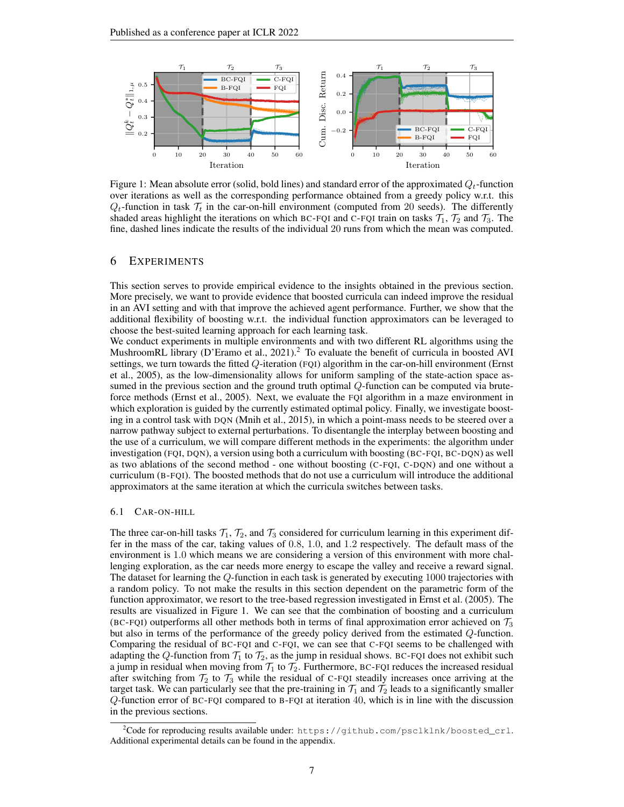

Figure 1: Mean absolute error (solid, bold lines) and standard error of the approximated  $Q_t$ -function over iterations as well as the corresponding performance obtained from a greedy policy w.r.t. this  $Q_t$ -function in task  $\mathcal{T}_t$  in the car-on-hill environment (computed from 20 seeds). The differently shaded areas highlight the iterations on which BC-FQI and C-FQI train on tasks  $\mathcal{T}_1$ ,  $\mathcal{T}_2$  and  $\mathcal{T}_3$ . The fine, dashed lines indicate the results of the individual 20 runs from which the mean was computed.

# 6 EXPERIMENTS

This section serves to provide empirical evidence to the insights obtained in the previous section. More precisely, we want to provide evidence that boosted curricula can indeed improve the residual in an AVI setting and with that improve the achieved agent performance. Further, we show that the additional flexibility of boosting w.r.t. the individual function approximators can be leveraged to choose the best-suited learning approach for each learning task.

We conduct experiments in multiple environments and with two different RL algorithms using the MushroomRL library (D'Eramo et al., 2021).<sup>2</sup> To evaluate the benefit of curricula in boosted AVI settings, we turn towards the fitted Q-iteration (FQI) algorithm in the car-on-hill environment (Ernst et al., 2005), as the low-dimensionality allows for uniform sampling of the state-action space assumed in the previous section and the ground truth optimal  $Q$ -function can be computed via bruteforce methods (Ernst et al., 2005). Next, we evaluate the FQI algorithm in a maze environment in which exploration is guided by the currently estimated optimal policy. Finally, we investigate boosting in a control task with DQN (Mnih et al., 2015), in which a point-mass needs to be steered over a narrow pathway subject to external perturbations. To disentangle the interplay between boosting and the use of a curriculum, we will compare different methods in the experiments: the algorithm under investigation (FQI, DQN), a version using both a curriculum with boosting (BC-FQI, BC-DQN) as well as two ablations of the second method - one without boosting (C-FQI, C-DQN) and one without a curriculum (B-FQI). The boosted methods that do not use a curriculum will introduce the additional approximators at the same iteration at which the curricula switches between tasks.

#### 6.1 CAR-ON-HILL

The three car-on-hill tasks  $\mathcal{T}_1$ ,  $\mathcal{T}_2$ , and  $\mathcal{T}_3$  considered for curriculum learning in this experiment differ in the mass of the car, taking values of 0.8, 1.0, and 1.2 respectively. The default mass of the environment is 1.0 which means we are considering a version of this environment with more challenging exploration, as the car needs more energy to escape the valley and receive a reward signal. The dataset for learning the Q-function in each task is generated by executing 1000 trajectories with a random policy. To not make the results in this section dependent on the parametric form of the function approximator, we resort to the tree-based regression investigated in Ernst et al. (2005). The results are visualized in Figure 1. We can see that the combination of boosting and a curriculum (BC-FQI) outperforms all other methods both in terms of final approximation error achieved on  $\mathcal{T}_3$ but also in terms of the performance of the greedy policy derived from the estimated Q-function. Comparing the residual of BC-FQI and C-FQI, we can see that C-FQI seems to be challenged with adapting the Q-function from  $\mathcal{T}_1$  to  $\mathcal{T}_2$ , as the jump in residual shows. BC-FQI does not exhibit such a jump in residual when moving from  $\mathcal{T}_1$  to  $\mathcal{T}_2$ . Furthermore, BC-FQI reduces the increased residual after switching from  $\mathcal{T}_2$  to  $\mathcal{T}_3$  while the residual of C-FQI steadily increases once arriving at the target task. We can particularly see that the pre-training in  $\mathcal{T}_1$  and  $\mathcal{T}_2$  leads to a significantly smaller Q-function error of BC-FQI compared to B-FQI at iteration 40, which is in line with the discussion in the previous sections.

<sup>&</sup>lt;sup>2</sup>Code for reproducing results available under: https://github.com/psclklnk/boosted\_crl. Additional experimental details can be found in the appendix.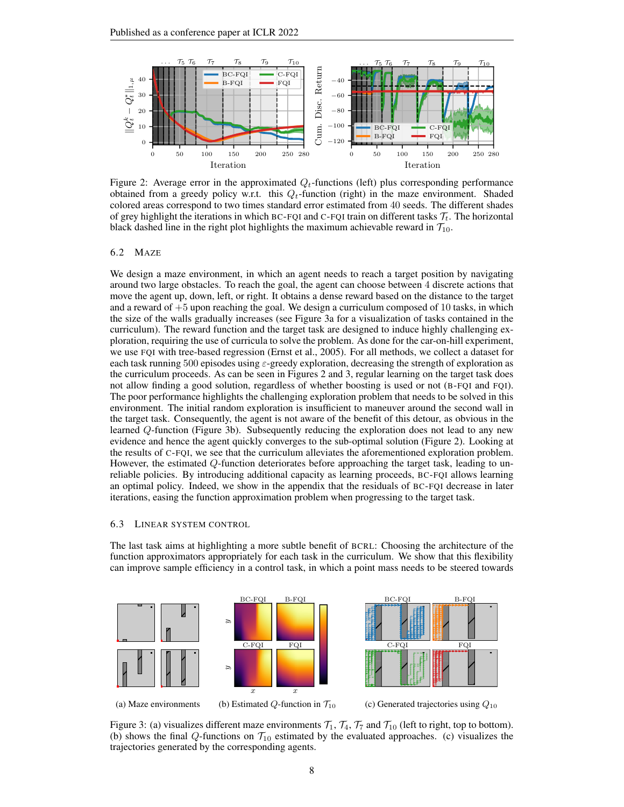

Figure 2: Average error in the approximated  $Q_t$ -functions (left) plus corresponding performance obtained from a greedy policy w.r.t. this  $Q_t$ -function (right) in the maze environment. Shaded colored areas correspond to two times standard error estimated from 40 seeds. The different shades of grey highlight the iterations in which BC-FQI and C-FQI train on different tasks  $\mathcal{T}_t$ . The horizontal black dashed line in the right plot highlights the maximum achievable reward in  $\mathcal{T}_{10}$ .

### 6.2 MAZE

We design a maze environment, in which an agent needs to reach a target position by navigating around two large obstacles. To reach the goal, the agent can choose between 4 discrete actions that move the agent up, down, left, or right. It obtains a dense reward based on the distance to the target and a reward of  $+5$  upon reaching the goal. We design a curriculum composed of 10 tasks, in which the size of the walls gradually increases (see Figure 3a for a visualization of tasks contained in the curriculum). The reward function and the target task are designed to induce highly challenging exploration, requiring the use of curricula to solve the problem. As done for the car-on-hill experiment, we use FQI with tree-based regression (Ernst et al., 2005). For all methods, we collect a dataset for each task running 500 episodes using  $\varepsilon$ -greedy exploration, decreasing the strength of exploration as the curriculum proceeds. As can be seen in Figures 2 and 3, regular learning on the target task does not allow finding a good solution, regardless of whether boosting is used or not (B-FQI and FQI). The poor performance highlights the challenging exploration problem that needs to be solved in this environment. The initial random exploration is insufficient to maneuver around the second wall in the target task. Consequently, the agent is not aware of the benefit of this detour, as obvious in the learned Q-function (Figure 3b). Subsequently reducing the exploration does not lead to any new evidence and hence the agent quickly converges to the sub-optimal solution (Figure 2). Looking at the results of C-FQI, we see that the curriculum alleviates the aforementioned exploration problem. However, the estimated Q-function deteriorates before approaching the target task, leading to unreliable policies. By introducing additional capacity as learning proceeds, BC-FQI allows learning an optimal policy. Indeed, we show in the appendix that the residuals of BC-FQI decrease in later iterations, easing the function approximation problem when progressing to the target task.

#### 6.3 LINEAR SYSTEM CONTROL

The last task aims at highlighting a more subtle benefit of BCRL: Choosing the architecture of the function approximators appropriately for each task in the curriculum. We show that this flexibility can improve sample efficiency in a control task, in which a point mass needs to be steered towards



(a) Maze environments

(c) Generated trajectories using  $Q_{10}$ 

Figure 3: (a) visualizes different maze environments  $\mathcal{T}_1$ ,  $\mathcal{T}_4$ ,  $\mathcal{T}_7$  and  $\mathcal{T}_{10}$  (left to right, top to bottom). (b) shows the final Q-functions on  $\mathcal{T}_{10}$  estimated by the evaluated approaches. (c) visualizes the trajectories generated by the corresponding agents.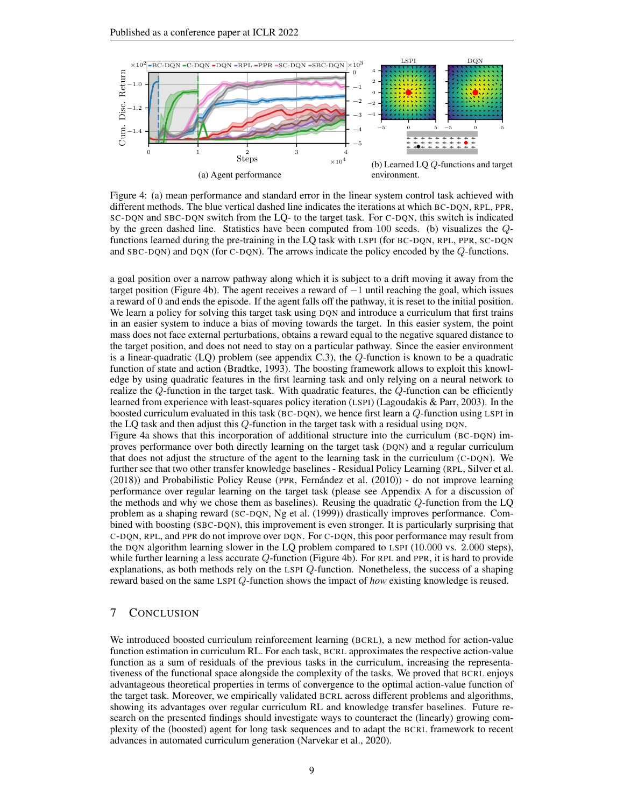

Figure 4: (a) mean performance and standard error in the linear system control task achieved with different methods. The blue vertical dashed line indicates the iterations at which BC-DQN, RPL, PPR, SC-DQN and SBC-DQN switch from the LQ- to the target task. For C-DQN, this switch is indicated by the green dashed line. Statistics have been computed from 100 seeds. (b) visualizes the Qfunctions learned during the pre-training in the LQ task with LSPI (for BC-DQN, RPL, PPR, SC-DQN and SBC-DQN) and DQN (for C-DQN). The arrows indicate the policy encoded by the Q-functions.

a goal position over a narrow pathway along which it is subject to a drift moving it away from the target position (Figure 4b). The agent receives a reward of −1 until reaching the goal, which issues a reward of 0 and ends the episode. If the agent falls off the pathway, it is reset to the initial position. We learn a policy for solving this target task using DQN and introduce a curriculum that first trains in an easier system to induce a bias of moving towards the target. In this easier system, the point mass does not face external perturbations, obtains a reward equal to the negative squared distance to the target position, and does not need to stay on a particular pathway. Since the easier environment is a linear-quadratic (LQ) problem (see appendix  $C.3$ ), the  $Q$ -function is known to be a quadratic function of state and action (Bradtke, 1993). The boosting framework allows to exploit this knowledge by using quadratic features in the first learning task and only relying on a neural network to realize the  $Q$ -function in the target task. With quadratic features, the  $Q$ -function can be efficiently learned from experience with least-squares policy iteration (LSPI) (Lagoudakis & Parr, 2003). In the boosted curriculum evaluated in this task (BC-DQN), we hence first learn a Q-function using LSPI in the LQ task and then adjust this Q-function in the target task with a residual using DQN. Figure 4a shows that this incorporation of additional structure into the curriculum (BC-DQN) improves performance over both directly learning on the target task (DQN) and a regular curriculum

that does not adjust the structure of the agent to the learning task in the curriculum (C-DQN). We further see that two other transfer knowledge baselines - Residual Policy Learning (RPL, Silver et al. (2018)) and Probabilistic Policy Reuse (PPR, Fernandez et al. (2010)) - do not improve learning ´ performance over regular learning on the target task (please see Appendix A for a discussion of the methods and why we chose them as baselines). Reusing the quadratic Q-function from the LQ problem as a shaping reward (SC-DQN, Ng et al. (1999)) drastically improves performance. Combined with boosting (SBC-DQN), this improvement is even stronger. It is particularly surprising that C-DQN, RPL, and PPR do not improve over DQN. For C-DQN, this poor performance may result from the DQN algorithm learning slower in the LQ problem compared to LSPI (10.000 vs. 2.000 steps), while further learning a less accurate Q-function (Figure 4b). For RPL and PPR, it is hard to provide explanations, as both methods rely on the LSPI Q-function. Nonetheless, the success of a shaping reward based on the same LSPI Q-function shows the impact of *how* existing knowledge is reused.

# 7 CONCLUSION

We introduced boosted curriculum reinforcement learning (BCRL), a new method for action-value function estimation in curriculum RL. For each task, BCRL approximates the respective action-value function as a sum of residuals of the previous tasks in the curriculum, increasing the representativeness of the functional space alongside the complexity of the tasks. We proved that BCRL enjoys advantageous theoretical properties in terms of convergence to the optimal action-value function of the target task. Moreover, we empirically validated BCRL across different problems and algorithms, showing its advantages over regular curriculum RL and knowledge transfer baselines. Future research on the presented findings should investigate ways to counteract the (linearly) growing complexity of the (boosted) agent for long task sequences and to adapt the BCRL framework to recent advances in automated curriculum generation (Narvekar et al., 2020).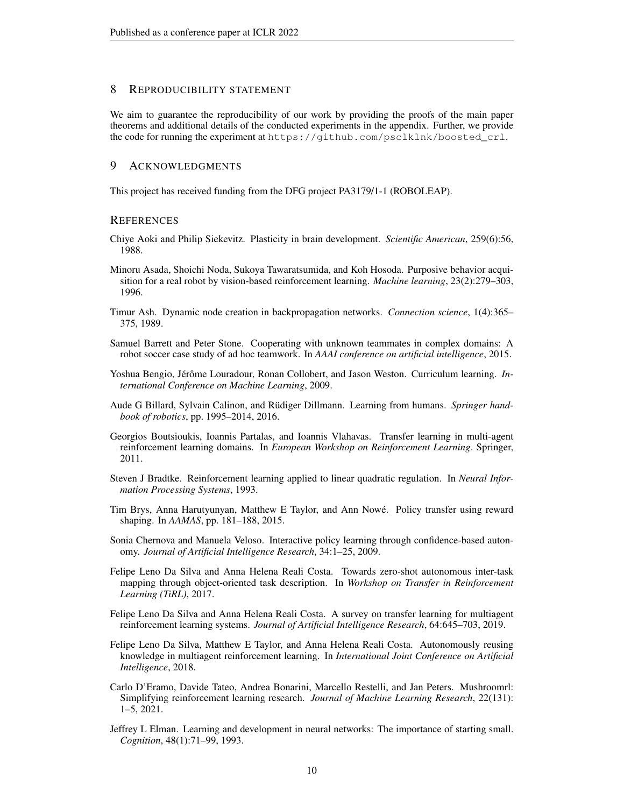# 8 REPRODUCIBILITY STATEMENT

We aim to guarantee the reproducibility of our work by providing the proofs of the main paper theorems and additional details of the conducted experiments in the appendix. Further, we provide the code for running the experiment at https://github.com/psclklnk/boosted\_crl.

# 9 ACKNOWLEDGMENTS

This project has received funding from the DFG project PA3179/1-1 (ROBOLEAP).

### **REFERENCES**

- Chiye Aoki and Philip Siekevitz. Plasticity in brain development. *Scientific American*, 259(6):56, 1988.
- Minoru Asada, Shoichi Noda, Sukoya Tawaratsumida, and Koh Hosoda. Purposive behavior acquisition for a real robot by vision-based reinforcement learning. *Machine learning*, 23(2):279–303, 1996.
- Timur Ash. Dynamic node creation in backpropagation networks. *Connection science*, 1(4):365– 375, 1989.
- Samuel Barrett and Peter Stone. Cooperating with unknown teammates in complex domains: A robot soccer case study of ad hoc teamwork. In *AAAI conference on artificial intelligence*, 2015.
- Yoshua Bengio, Jérôme Louradour, Ronan Collobert, and Jason Weston. Curriculum learning. *International Conference on Machine Learning*, 2009.
- Aude G Billard, Sylvain Calinon, and Rüdiger Dillmann. Learning from humans. *Springer handbook of robotics*, pp. 1995–2014, 2016.
- Georgios Boutsioukis, Ioannis Partalas, and Ioannis Vlahavas. Transfer learning in multi-agent reinforcement learning domains. In *European Workshop on Reinforcement Learning*. Springer, 2011.
- Steven J Bradtke. Reinforcement learning applied to linear quadratic regulation. In *Neural Information Processing Systems*, 1993.
- Tim Brys, Anna Harutyunyan, Matthew E Taylor, and Ann Nowe. Policy transfer using reward ´ shaping. In *AAMAS*, pp. 181–188, 2015.
- Sonia Chernova and Manuela Veloso. Interactive policy learning through confidence-based autonomy. *Journal of Artificial Intelligence Research*, 34:1–25, 2009.
- Felipe Leno Da Silva and Anna Helena Reali Costa. Towards zero-shot autonomous inter-task mapping through object-oriented task description. In *Workshop on Transfer in Reinforcement Learning (TiRL)*, 2017.
- Felipe Leno Da Silva and Anna Helena Reali Costa. A survey on transfer learning for multiagent reinforcement learning systems. *Journal of Artificial Intelligence Research*, 64:645–703, 2019.
- Felipe Leno Da Silva, Matthew E Taylor, and Anna Helena Reali Costa. Autonomously reusing knowledge in multiagent reinforcement learning. In *International Joint Conference on Artificial Intelligence*, 2018.
- Carlo D'Eramo, Davide Tateo, Andrea Bonarini, Marcello Restelli, and Jan Peters. Mushroomrl: Simplifying reinforcement learning research. *Journal of Machine Learning Research*, 22(131): 1–5, 2021.
- Jeffrey L Elman. Learning and development in neural networks: The importance of starting small. *Cognition*, 48(1):71–99, 1993.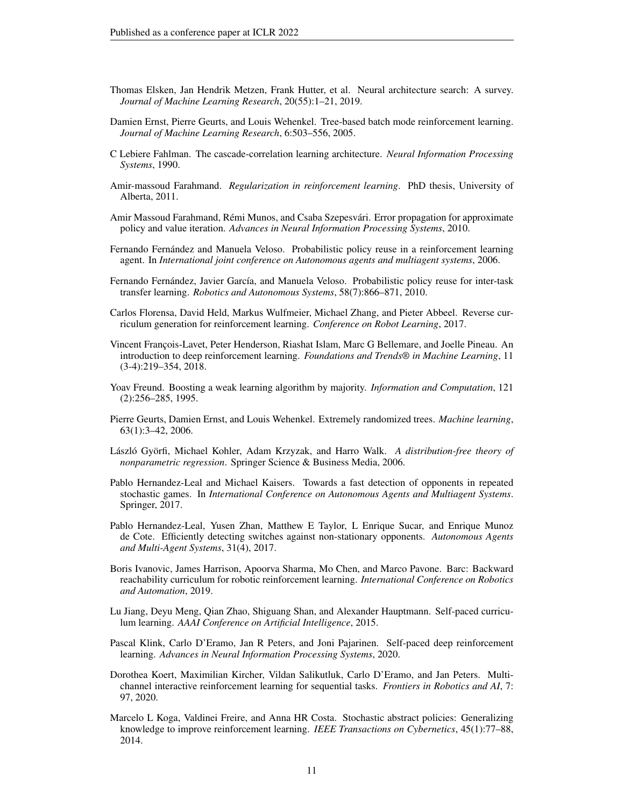- Thomas Elsken, Jan Hendrik Metzen, Frank Hutter, et al. Neural architecture search: A survey. *Journal of Machine Learning Research*, 20(55):1–21, 2019.
- Damien Ernst, Pierre Geurts, and Louis Wehenkel. Tree-based batch mode reinforcement learning. *Journal of Machine Learning Research*, 6:503–556, 2005.
- C Lebiere Fahlman. The cascade-correlation learning architecture. *Neural Information Processing Systems*, 1990.
- Amir-massoud Farahmand. *Regularization in reinforcement learning*. PhD thesis, University of Alberta, 2011.
- Amir Massoud Farahmand, Rémi Munos, and Csaba Szepesvári. Error propagation for approximate policy and value iteration. *Advances in Neural Information Processing Systems*, 2010.
- Fernando Fernández and Manuela Veloso. Probabilistic policy reuse in a reinforcement learning agent. In *International joint conference on Autonomous agents and multiagent systems*, 2006.
- Fernando Fernández, Javier García, and Manuela Veloso. Probabilistic policy reuse for inter-task transfer learning. *Robotics and Autonomous Systems*, 58(7):866–871, 2010.
- Carlos Florensa, David Held, Markus Wulfmeier, Michael Zhang, and Pieter Abbeel. Reverse curriculum generation for reinforcement learning. *Conference on Robot Learning*, 2017.
- Vincent François-Lavet, Peter Henderson, Riashat Islam, Marc G Bellemare, and Joelle Pineau. An introduction to deep reinforcement learning. *Foundations and Trends® in Machine Learning*, 11 (3-4):219–354, 2018.
- Yoav Freund. Boosting a weak learning algorithm by majority. *Information and Computation*, 121 (2):256–285, 1995.
- Pierre Geurts, Damien Ernst, and Louis Wehenkel. Extremely randomized trees. *Machine learning*, 63(1):3–42, 2006.
- László Györfi, Michael Kohler, Adam Krzyzak, and Harro Walk. A distribution-free theory of *nonparametric regression*. Springer Science & Business Media, 2006.
- Pablo Hernandez-Leal and Michael Kaisers. Towards a fast detection of opponents in repeated stochastic games. In *International Conference on Autonomous Agents and Multiagent Systems*. Springer, 2017.
- Pablo Hernandez-Leal, Yusen Zhan, Matthew E Taylor, L Enrique Sucar, and Enrique Munoz de Cote. Efficiently detecting switches against non-stationary opponents. *Autonomous Agents and Multi-Agent Systems*, 31(4), 2017.
- Boris Ivanovic, James Harrison, Apoorva Sharma, Mo Chen, and Marco Pavone. Barc: Backward reachability curriculum for robotic reinforcement learning. *International Conference on Robotics and Automation*, 2019.
- Lu Jiang, Deyu Meng, Qian Zhao, Shiguang Shan, and Alexander Hauptmann. Self-paced curriculum learning. *AAAI Conference on Artificial Intelligence*, 2015.
- Pascal Klink, Carlo D'Eramo, Jan R Peters, and Joni Pajarinen. Self-paced deep reinforcement learning. *Advances in Neural Information Processing Systems*, 2020.
- Dorothea Koert, Maximilian Kircher, Vildan Salikutluk, Carlo D'Eramo, and Jan Peters. Multichannel interactive reinforcement learning for sequential tasks. *Frontiers in Robotics and AI*, 7: 97, 2020.
- Marcelo L Koga, Valdinei Freire, and Anna HR Costa. Stochastic abstract policies: Generalizing knowledge to improve reinforcement learning. *IEEE Transactions on Cybernetics*, 45(1):77–88, 2014.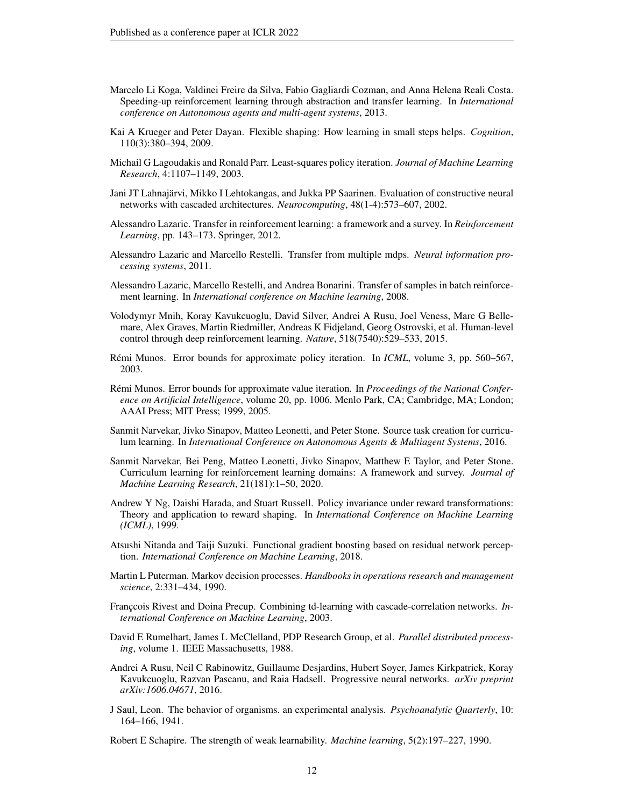- Marcelo Li Koga, Valdinei Freire da Silva, Fabio Gagliardi Cozman, and Anna Helena Reali Costa. Speeding-up reinforcement learning through abstraction and transfer learning. In *International conference on Autonomous agents and multi-agent systems*, 2013.
- Kai A Krueger and Peter Dayan. Flexible shaping: How learning in small steps helps. *Cognition*, 110(3):380–394, 2009.
- Michail G Lagoudakis and Ronald Parr. Least-squares policy iteration. *Journal of Machine Learning Research*, 4:1107–1149, 2003.
- Jani JT Lahnajarvi, Mikko I Lehtokangas, and Jukka PP Saarinen. Evaluation of constructive neural ¨ networks with cascaded architectures. *Neurocomputing*, 48(1-4):573–607, 2002.
- Alessandro Lazaric. Transfer in reinforcement learning: a framework and a survey. In *Reinforcement Learning*, pp. 143–173. Springer, 2012.
- Alessandro Lazaric and Marcello Restelli. Transfer from multiple mdps. *Neural information processing systems*, 2011.
- Alessandro Lazaric, Marcello Restelli, and Andrea Bonarini. Transfer of samples in batch reinforcement learning. In *International conference on Machine learning*, 2008.
- Volodymyr Mnih, Koray Kavukcuoglu, David Silver, Andrei A Rusu, Joel Veness, Marc G Bellemare, Alex Graves, Martin Riedmiller, Andreas K Fidjeland, Georg Ostrovski, et al. Human-level control through deep reinforcement learning. *Nature*, 518(7540):529–533, 2015.
- Rémi Munos. Error bounds for approximate policy iteration. In *ICML*, volume 3, pp. 560–567, 2003.
- Rémi Munos. Error bounds for approximate value iteration. In *Proceedings of the National Conference on Artificial Intelligence*, volume 20, pp. 1006. Menlo Park, CA; Cambridge, MA; London; AAAI Press; MIT Press; 1999, 2005.
- Sanmit Narvekar, Jivko Sinapov, Matteo Leonetti, and Peter Stone. Source task creation for curriculum learning. In *International Conference on Autonomous Agents & Multiagent Systems*, 2016.
- Sanmit Narvekar, Bei Peng, Matteo Leonetti, Jivko Sinapov, Matthew E Taylor, and Peter Stone. Curriculum learning for reinforcement learning domains: A framework and survey. *Journal of Machine Learning Research*, 21(181):1–50, 2020.
- Andrew Y Ng, Daishi Harada, and Stuart Russell. Policy invariance under reward transformations: Theory and application to reward shaping. In *International Conference on Machine Learning (ICML)*, 1999.
- Atsushi Nitanda and Taiji Suzuki. Functional gradient boosting based on residual network perception. *International Conference on Machine Learning*, 2018.
- Martin L Puterman. Markov decision processes. *Handbooks in operations research and management science*, 2:331–434, 1990.
- Franccois Rivest and Doina Precup. Combining td-learning with cascade-correlation networks. *International Conference on Machine Learning*, 2003.
- David E Rumelhart, James L McClelland, PDP Research Group, et al. *Parallel distributed processing*, volume 1. IEEE Massachusetts, 1988.
- Andrei A Rusu, Neil C Rabinowitz, Guillaume Desjardins, Hubert Soyer, James Kirkpatrick, Koray Kavukcuoglu, Razvan Pascanu, and Raia Hadsell. Progressive neural networks. *arXiv preprint arXiv:1606.04671*, 2016.
- J Saul, Leon. The behavior of organisms. an experimental analysis. *Psychoanalytic Quarterly*, 10: 164–166, 1941.

Robert E Schapire. The strength of weak learnability. *Machine learning*, 5(2):197–227, 1990.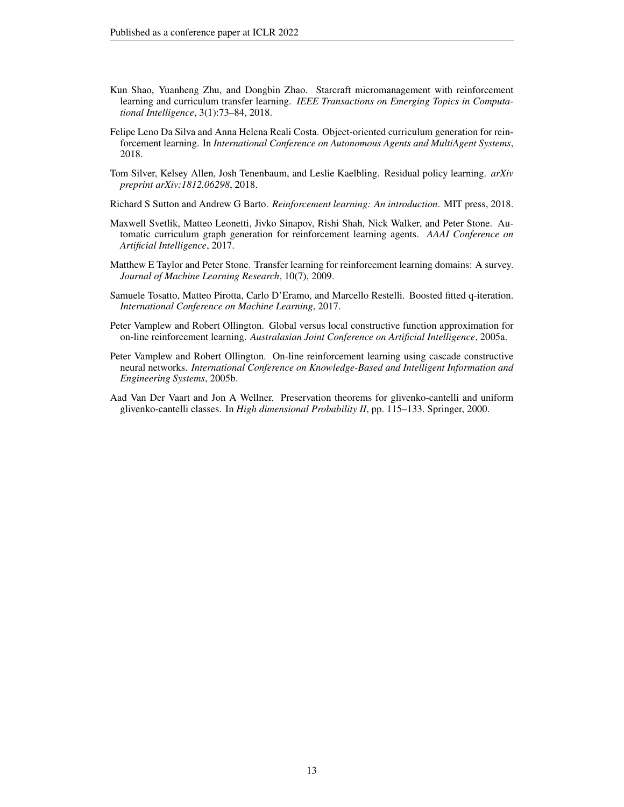- Kun Shao, Yuanheng Zhu, and Dongbin Zhao. Starcraft micromanagement with reinforcement learning and curriculum transfer learning. *IEEE Transactions on Emerging Topics in Computational Intelligence*, 3(1):73–84, 2018.
- Felipe Leno Da Silva and Anna Helena Reali Costa. Object-oriented curriculum generation for reinforcement learning. In *International Conference on Autonomous Agents and MultiAgent Systems*, 2018.
- Tom Silver, Kelsey Allen, Josh Tenenbaum, and Leslie Kaelbling. Residual policy learning. *arXiv preprint arXiv:1812.06298*, 2018.
- Richard S Sutton and Andrew G Barto. *Reinforcement learning: An introduction*. MIT press, 2018.
- Maxwell Svetlik, Matteo Leonetti, Jivko Sinapov, Rishi Shah, Nick Walker, and Peter Stone. Automatic curriculum graph generation for reinforcement learning agents. *AAAI Conference on Artificial Intelligence*, 2017.
- Matthew E Taylor and Peter Stone. Transfer learning for reinforcement learning domains: A survey. *Journal of Machine Learning Research*, 10(7), 2009.
- Samuele Tosatto, Matteo Pirotta, Carlo D'Eramo, and Marcello Restelli. Boosted fitted q-iteration. *International Conference on Machine Learning*, 2017.
- Peter Vamplew and Robert Ollington. Global versus local constructive function approximation for on-line reinforcement learning. *Australasian Joint Conference on Artificial Intelligence*, 2005a.
- Peter Vamplew and Robert Ollington. On-line reinforcement learning using cascade constructive neural networks. *International Conference on Knowledge-Based and Intelligent Information and Engineering Systems*, 2005b.
- Aad Van Der Vaart and Jon A Wellner. Preservation theorems for glivenko-cantelli and uniform glivenko-cantelli classes. In *High dimensional Probability II*, pp. 115–133. Springer, 2000.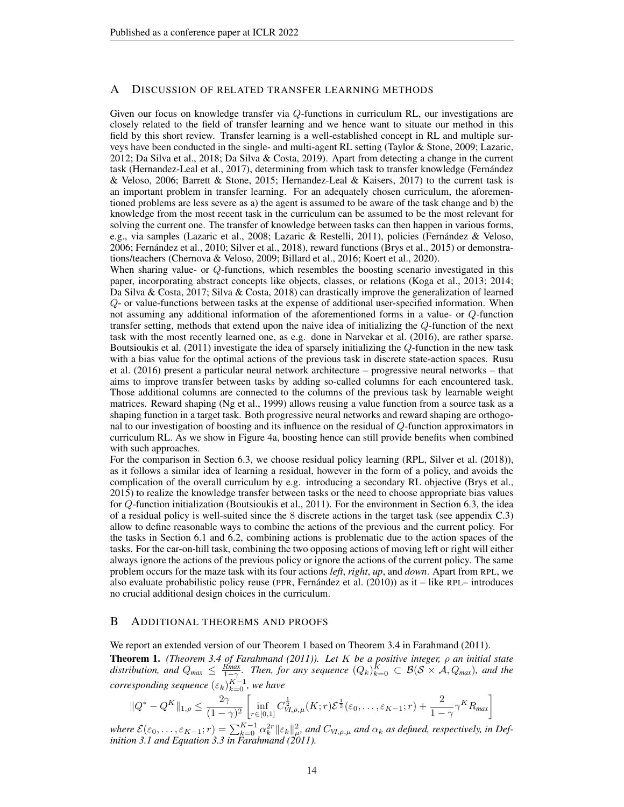### A DISCUSSION OF RELATED TRANSFER LEARNING METHODS

Given our focus on knowledge transfer via Q-functions in curriculum RL, our investigations are closely related to the field of transfer learning and we hence want to situate our method in this field by this short review. Transfer learning is a well-established concept in RL and multiple surveys have been conducted in the single- and multi-agent RL setting (Taylor & Stone, 2009; Lazaric, 2012; Da Silva et al., 2018; Da Silva & Costa, 2019). Apart from detecting a change in the current task (Hernandez-Leal et al., 2017), determining from which task to transfer knowledge (Fernandez ´ & Veloso, 2006; Barrett & Stone, 2015; Hernandez-Leal & Kaisers, 2017) to the current task is an important problem in transfer learning. For an adequately chosen curriculum, the aforementioned problems are less severe as a) the agent is assumed to be aware of the task change and b) the knowledge from the most recent task in the curriculum can be assumed to be the most relevant for solving the current one. The transfer of knowledge between tasks can then happen in various forms, e.g., via samples (Lazaric et al., 2008; Lazaric & Restelli, 2011), policies (Fernández & Veloso, 2006; Fernandez et al., 2010; Silver et al., 2018), reward functions (Brys et al., 2015) or demonstra- ´ tions/teachers (Chernova & Veloso, 2009; Billard et al., 2016; Koert et al., 2020).

When sharing value- or Q-functions, which resembles the boosting scenario investigated in this paper, incorporating abstract concepts like objects, classes, or relations (Koga et al., 2013; 2014; Da Silva & Costa, 2017; Silva & Costa, 2018) can drastically improve the generalization of learned Q- or value-functions between tasks at the expense of additional user-specified information. When not assuming any additional information of the aforementioned forms in a value- or Q-function transfer setting, methods that extend upon the naive idea of initializing the Q-function of the next task with the most recently learned one, as e.g. done in Narvekar et al. (2016), are rather sparse. Boutsioukis et al. (2011) investigate the idea of sparsely initializing the Q-function in the new task with a bias value for the optimal actions of the previous task in discrete state-action spaces. Rusu et al. (2016) present a particular neural network architecture – progressive neural networks – that aims to improve transfer between tasks by adding so-called columns for each encountered task. Those additional columns are connected to the columns of the previous task by learnable weight matrices. Reward shaping (Ng et al., 1999) allows reusing a value function from a source task as a shaping function in a target task. Both progressive neural networks and reward shaping are orthogonal to our investigation of boosting and its influence on the residual of Q-function approximators in curriculum RL. As we show in Figure 4a, boosting hence can still provide benefits when combined with such approaches.

For the comparison in Section 6.3, we choose residual policy learning (RPL, Silver et al. (2018)), as it follows a similar idea of learning a residual, however in the form of a policy, and avoids the complication of the overall curriculum by e.g. introducing a secondary RL objective (Brys et al., 2015) to realize the knowledge transfer between tasks or the need to choose appropriate bias values for Q-function initialization (Boutsioukis et al., 2011). For the environment in Section 6.3, the idea of a residual policy is well-suited since the 8 discrete actions in the target task (see appendix C.3) allow to define reasonable ways to combine the actions of the previous and the current policy. For the tasks in Section 6.1 and 6.2, combining actions is problematic due to the action spaces of the tasks. For the car-on-hill task, combining the two opposing actions of moving left or right will either always ignore the actions of the previous policy or ignore the actions of the current policy. The same problem occurs for the maze task with its four actions *left*, *right*, *up*, and *down*. Apart from RPL, we also evaluate probabilistic policy reuse (PPR, Fernandez et al.  $(2010)$ ) as it – like RPL– introduces no crucial additional design choices in the curriculum.

# B ADDITIONAL THEOREMS AND PROOFS

We report an extended version of our Theorem 1 based on Theorem 3.4 in Farahmand (2011).

Theorem 1. *(Theorem 3.4 of Farahmand (2011)). Let* K *be a positive integer,* ρ *an initial state* distribution, and  $Q_{max} \le \frac{R_{max}}{1-\gamma}$ . Then, for any sequence  $(Q_k)_{k=0}^K \subset \mathcal{B}(\mathcal{S} \times \mathcal{A}, Q_{max})$ , and the  $corresponding sequence  $(\varepsilon_k)_{k=0}^{K-1}$ , we have$ 

$$
||Q^* - Q^K||_{1,\rho} \le \frac{2\gamma}{(1-\gamma)^2} \left[ \inf_{r \in [0,1]} C_{VI,\rho,\mu}^{\frac{1}{2}}(K;r) \mathcal{E}^{\frac{1}{2}}(\varepsilon_0,\ldots,\varepsilon_{K-1};r) + \frac{2}{1-\gamma} \gamma^K R_{\text{max}} \right]
$$

 $\mathcal{E}(\varepsilon_0,\ldots,\varepsilon_{K-1};r)=\sum_{k=0}^{K-1}\alpha_k^{2r}\|\varepsilon_k\|_{\mu}^2$ , and  $C_{VI,\rho,\mu}$  and  $\alpha_k$  as defined, respectively, in Def*inition 3.1 and Equation 3.3 in Farahmand (2011).*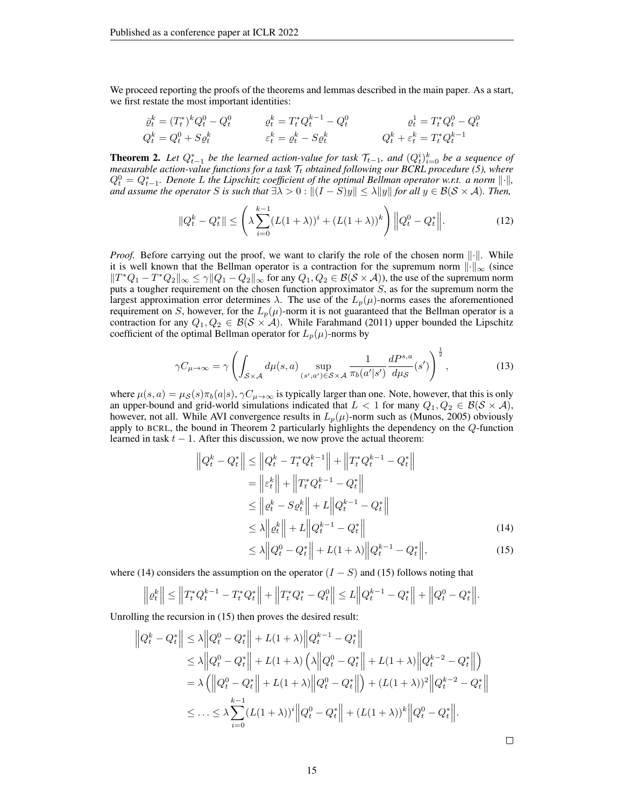We proceed reporting the proofs of the theorems and lemmas described in the main paper. As a start, we first restate the most important identities:

$$
\begin{aligned}\n\bar{\varrho}_t^k &= (T_t^*)^k Q_t^0 - Q_t^0 & \varrho_t^k &= T_t^* Q_t^{k-1} - Q_t^0 & \varrho_t^1 &= T_t^* Q_t^0 - Q_t^0 \\
Q_t^k &= Q_t^0 + S \varrho_t^k & \varepsilon_t^k &= \varrho_t^k - S \varrho_t^k & \qquad Q_t^k + \varepsilon_t^k &= T_t^* Q_t^{k-1}\n\end{aligned}
$$

**Theorem 2.** Let  $Q_{t-1}^*$  be the learned action-value for task  $\mathcal{T}_{t-1}$ , and  $(Q_t^i)_{i=0}^k$  be a sequence of *measurable action-value functions for a task*  $T_t$  *obtained following our BCRL procedure (5), where*  $Q_t^0 = Q_{t-1}^*$ . Denote L the Lipschitz coefficient of the optimal Bellman operator w.r.t. a norm  $\lVert \cdot \rVert$ , *and assume the operator* S *is such that*  $\exists \lambda > 0 : ||(I - S)y|| \leq \lambda ||y||$  *for all*  $y \in \mathcal{B}(\mathcal{S} \times \mathcal{A})$ *. Then,* 

$$
||Q_t^k - Q_t^*|| \leq \left(\lambda \sum_{i=0}^{k-1} (L(1+\lambda))^i + (L(1+\lambda))^k\right) ||Q_t^0 - Q_t^*||.
$$
 (12)

*Proof.* Before carrying out the proof, we want to clarify the role of the chosen norm  $\|\cdot\|$ . While it is well known that the Bellman operator is a contraction for the supremum norm  $\lVert \cdot \rVert_{\infty}$  (since  $||T^*Q_1 - T^*Q_2||_{\infty} \le \gamma ||Q_1 - Q_2||_{\infty}$  for any  $Q_1, Q_2 \in \mathcal{B}(\mathcal{S} \times \mathcal{A}))$ , the use of the supremum norm puts a tougher requirement on the chosen function approximator  $S$ , as for the supremum norm the largest approximation error determines  $\lambda$ . The use of the  $L_p(\mu)$ -norms eases the aforementioned requirement on S, however, for the  $L_p(\mu)$ -norm it is not guaranteed that the Bellman operator is a contraction for any  $Q_1, Q_2 \in \mathcal{B}(\mathcal{S} \times \mathcal{A})$ . While Farahmand (2011) upper bounded the Lipschitz coefficient of the optimal Bellman operator for  $L_p(\mu)$ -norms by

$$
\gamma C_{\mu \to \infty} = \gamma \left( \int_{\mathcal{S} \times \mathcal{A}} d\mu(s, a) \sup_{(s', a') \in \mathcal{S} \times \mathcal{A}} \frac{1}{\pi_b(a'|s')} \frac{dP^{s, a}}{d\mu_{\mathcal{S}}}(s') \right)^{\frac{1}{2}},\tag{13}
$$

where  $\mu(s, a) = \mu_{\mathcal{S}}(s)\pi_b(a|s), \gamma C_{\mu \to \infty}$  is typically larger than one. Note, however, that this is only an upper-bound and grid-world simulations indicated that  $L < 1$  for many  $Q_1, Q_2 \in \mathcal{B}(\mathcal{S} \times \mathcal{A})$ , however, not all. While AVI convergence results in  $L_p(\mu)$ -norm such as (Munos, 2005) obviously apply to BCRL, the bound in Theorem 2 particularly highlights the dependency on the Q-function learned in task  $t - 1$ . After this discussion, we now prove the actual theorem:

$$
\|Q_t^k - Q_t^*\| \le \|Q_t^k - T_t^* Q_t^{k-1}\| + \|T_t^* Q_t^{k-1} - Q_t^*\|
$$
  
\n
$$
= \|\varepsilon_t^k\| + \|T_t^* Q_t^{k-1} - Q_t^*\|
$$
  
\n
$$
\le \|\varrho_t^k - S\varrho_t^k\| + L\|Q_t^{k-1} - Q_t^*\|
$$
  
\n
$$
\le \lambda \|\varrho_t^k\| + L\|Q_t^{k-1} - Q_t^*\|
$$
  
\n
$$
\le \lambda \|\varrho_t^0 - Q_t^*\| + L(1 + \lambda) \|\varrho_t^{k-1} - Q_t^*\|,
$$
\n(14)

where (14) considers the assumption on the operator  $(I - S)$  and (15) follows noting that

$$
\left\| \varrho_t^k \right\| \le \left\| T_t^* Q_t^{k-1} - T_t^* Q_t^* \right\| + \left\| T_t^* Q_t^* - Q_t^0 \right\| \le L \left\| Q_t^{k-1} - Q_t^* \right\| + \left\| Q_t^0 - Q_t^* \right\|.
$$

Unrolling the recursion in (15) then proves the desired result:

$$
\|Q_t^k - Q_t^*\| \le \lambda \|Q_t^0 - Q_t^*\| + L(1 + \lambda) \|Q_t^{k-1} - Q_t^*\|
$$
  
\n
$$
\le \lambda \|Q_t^0 - Q_t^*\| + L(1 + \lambda) \left(\lambda \|Q_t^0 - Q_t^*\| + L(1 + \lambda) \|Q_t^{k-2} - Q_t^*\|\right)
$$
  
\n
$$
= \lambda \left(\|Q_t^0 - Q_t^*\| + L(1 + \lambda) \|Q_t^0 - Q_t^*\|\right) + (L(1 + \lambda))^2 \|Q_t^{k-2} - Q_t^*\|
$$
  
\n
$$
\le \dots \le \lambda \sum_{i=0}^{k-1} (L(1 + \lambda))^i \|Q_t^0 - Q_t^*\| + (L(1 + \lambda))^k \|Q_t^0 - Q_t^*\|.
$$

 $\Box$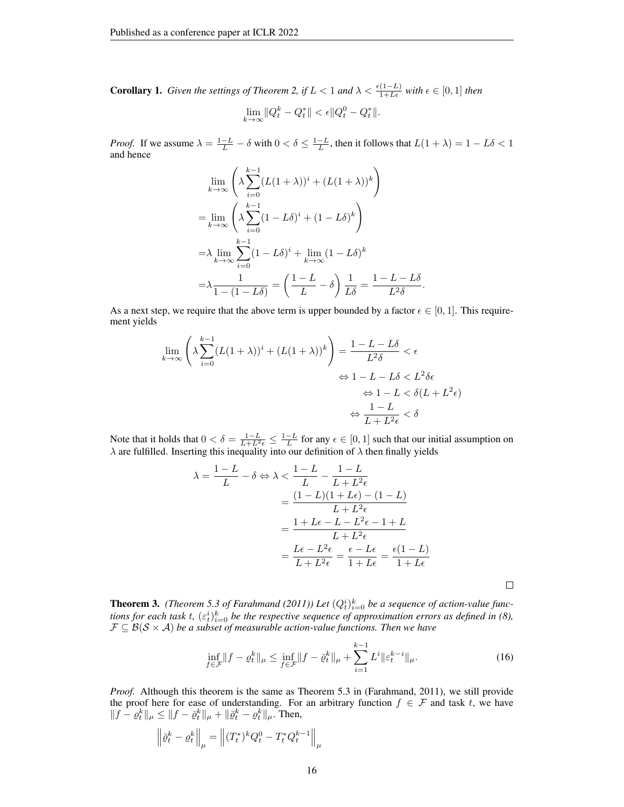**Corollary 1.** *Given the settings of Theorem 2, if*  $L < 1$  *and*  $\lambda < \frac{\epsilon(1-L)}{1+L\epsilon}$  *with*  $\epsilon \in [0,1]$  *then* 

$$
\lim_{k \to \infty} \|Q_t^k - Q_t^*\| < \epsilon \|Q_t^0 - Q_t^*\|.
$$

*Proof.* If we assume  $\lambda = \frac{1-L}{L} - \delta$  with  $0 < \delta \leq \frac{1-L}{L}$ , then it follows that  $L(1 + \lambda) = 1 - L\delta < 1$ and hence

$$
\lim_{k \to \infty} \left( \lambda \sum_{i=0}^{k-1} (L(1+\lambda))^i + (L(1+\lambda))^k \right)
$$
  
= 
$$
\lim_{k \to \infty} \left( \lambda \sum_{i=0}^{k-1} (1-L\delta)^i + (1-L\delta)^k \right)
$$
  
= 
$$
\lambda \lim_{k \to \infty} \sum_{i=0}^{k-1} (1-L\delta)^i + \lim_{k \to \infty} (1-L\delta)^k
$$
  
= 
$$
\lambda \frac{1}{1 - (1-L\delta)} = \left( \frac{1-L}{L} - \delta \right) \frac{1}{L\delta} = \frac{1-L-L\delta}{L^2\delta}.
$$

As a next step, we require that the above term is upper bounded by a factor  $\epsilon \in [0, 1]$ . This requirement yields

$$
\lim_{k \to \infty} \left( \lambda \sum_{i=0}^{k-1} (L(1+\lambda))^i + (L(1+\lambda))^k \right) = \frac{1 - L - L\delta}{L^2 \delta} < \epsilon
$$
\n
$$
\Leftrightarrow 1 - L - L\delta < L^2 \delta \epsilon
$$
\n
$$
\Leftrightarrow 1 - L < \delta(L + L^2 \epsilon)
$$
\n
$$
\Leftrightarrow \frac{1 - L}{L + L^2 \epsilon} < \delta
$$

Note that it holds that  $0 < \delta = \frac{1-L}{L+L^2\epsilon} \leq \frac{1-L}{L}$  for any  $\epsilon \in [0,1]$  such that our initial assumption on  $\lambda$  are fulfilled. Inserting this inequality into our definition of  $\lambda$  then finally yields

$$
\lambda = \frac{1 - L}{L} - \delta \Leftrightarrow \lambda < \frac{1 - L}{L} - \frac{1 - L}{L + L^2 \epsilon}
$$
\n
$$
= \frac{(1 - L)(1 + L\epsilon) - (1 - L)}{L + L^2 \epsilon}
$$
\n
$$
= \frac{1 + L\epsilon - L - L^2 \epsilon - 1 + L}{L + L^2 \epsilon}
$$
\n
$$
= \frac{L\epsilon - L^2 \epsilon}{L + L^2 \epsilon} = \frac{\epsilon - L\epsilon}{1 + L\epsilon} = \frac{\epsilon(1 - L)}{1 + L\epsilon}
$$

**Theorem 3.** (Theorem 5.3 of Farahmand (2011)) Let  $(Q_t^i)_{i=0}^k$  be a sequence of action-value functions for each task t,  $(\varepsilon_t^i)_{i=0}^k$  be the respective sequence of approximation errors as defined in (8),  $\mathcal{F} \subseteq \mathcal{B}(\mathcal{S} \times \mathcal{A})$  *be a subset of measurable action-value functions. Then we have* 

$$
\inf_{f \in \mathcal{F}} \|f - \varrho_t^k\|_{\mu} \le \inf_{f \in \mathcal{F}} \|f - \bar{\varrho}_t^k\|_{\mu} + \sum_{i=1}^{k-1} L^i \|\varepsilon_t^{k-i}\|_{\mu}.
$$
 (16)

*Proof.* Although this theorem is the same as Theorem 5.3 in (Farahmand, 2011), we still provide the proof here for ease of understanding. For an arbitrary function  $f \in \mathcal{F}$  and task t, we have  $||f - \varrho_t^k||_\mu \leq ||f - \bar{\varrho}_t^k||_\mu + ||\bar{\varrho}_t^k - \varrho_t^k||_\mu$ . Then,

$$
\left\| \bar{\varrho}^k_t - \varrho^k_t \right\|_{\mu} = \left\| (T^*_t)^k Q^0_t - T^*_t Q^{k-1}_t \right\|_{\mu}
$$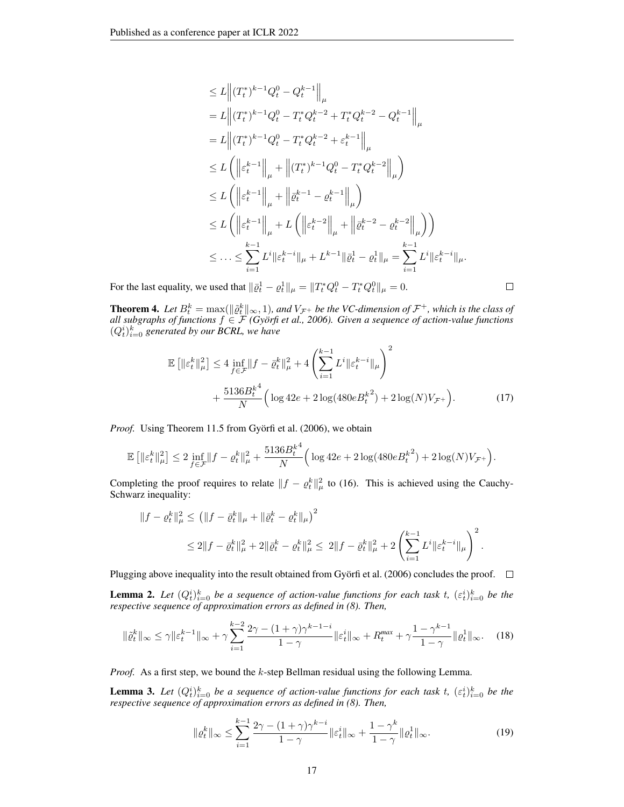$$
\leq L \left\| (T_t^*)^{k-1} Q_t^0 - Q_t^{k-1} \right\|_{\mu}
$$
\n
$$
= L \left\| (T_t^*)^{k-1} Q_t^0 - T_t^* Q_t^{k-2} + T_t^* Q_t^{k-2} - Q_t^{k-1} \right\|_{\mu}
$$
\n
$$
= L \left\| (T_t^*)^{k-1} Q_t^0 - T_t^* Q_t^{k-2} + \varepsilon_t^{k-1} \right\|_{\mu}
$$
\n
$$
\leq L \left( \left\| \varepsilon_t^{k-1} \right\|_{\mu} + \left\| (T_t^*)^{k-1} Q_t^0 - T_t^* Q_t^{k-2} \right\|_{\mu} \right)
$$
\n
$$
\leq L \left( \left\| \varepsilon_t^{k-1} \right\|_{\mu} + \left\| \bar{\varrho}_t^{k-1} - \varrho_t^{k-1} \right\|_{\mu} \right)
$$
\n
$$
\leq L \left( \left\| \varepsilon_t^{k-1} \right\|_{\mu} + L \left( \left\| \varepsilon_t^{k-2} \right\|_{\mu} + \left\| \bar{\varrho}_t^{k-2} - \varrho_t^{k-2} \right\|_{\mu} \right) \right)
$$
\n
$$
\leq \dots \leq \sum_{i=1}^{k-1} L^i \left\| \varepsilon_t^{k-i} \right\|_{\mu} + L^{k-1} \left\| \bar{\varrho}_t^1 - \varrho_t^1 \right\|_{\mu} = \sum_{i=1}^{k-1} L^i \left\| \varepsilon_t^{k-i} \right\|_{\mu}.
$$

 $\Box$ 

For the last equality, we used that  $\|\bar{\varrho}_t^1 - \varrho_t^1\|_{\mu} = \|T_t^*Q_t^0 - T_t^*Q_t^0\|_{\mu} = 0.$ 

**Theorem 4.** Let  $B_t^k = \max(||\hat{\varrho}_t^k||_{\infty}, 1)$ , and  $V_{\mathcal{F}^+}$  be the VC-dimension of  $\mathcal{F}^+$ , which is the class of *all subgraphs of functions*  $f \in \mathcal{F}$  *(Györfi et al., 2006). Given a sequence of action-value functions*  $(Q_t^i)_{i=0}^k$  generated by our BCRL, we have

$$
\mathbb{E}\left[\|\varepsilon_t^k\|_{\mu}^2\right] \le 4 \inf_{f \in \mathcal{F}} \|f - \bar{\varrho}_t^k\|_{\mu}^2 + 4 \left(\sum_{i=1}^{k-1} L^i \|\varepsilon_t^{k-i}\|_{\mu}\right)^2 + \frac{5136B_t^{k^4}}{N} \left(\log 42e + 2\log(480eB_t^{k^2}) + 2\log(N)V_{\mathcal{F}^+}\right). \tag{17}
$$

*Proof.* Using Theorem 11.5 from Györfi et al. (2006), we obtain

$$
\mathbb{E}\left[\|\varepsilon_t^k\|_{\mu}^2\right] \leq 2\inf_{f\in\mathcal{F}}\|f-\varrho_t^k\|_{\mu}^2 + \frac{5136B_t^{k^4}}{N}\Big(\log 42e + 2\log(480e{B_t^k}^2) + 2\log(N)V_{\mathcal{F}^+}\Big).
$$

Completing the proof requires to relate  $||f - e_t^k||^2_\mu$  to (16). This is achieved using the Cauchy-Schwarz inequality:

$$
||f - \varrho_t^k||_\mu^2 \le (||f - \bar{\varrho}_t^k||_\mu + ||\bar{\varrho}_t^k - \varrho_t^k||_\mu)^2
$$
  

$$
\le 2||f - \bar{\varrho}_t^k||_\mu^2 + 2||\bar{\varrho}_t^k - \varrho_t^k||_\mu^2 \le 2||f - \bar{\varrho}_t^k||_\mu^2 + 2\left(\sum_{i=1}^{k-1} L^i||\varepsilon_t^{k-i}||_\mu\right)^2.
$$

Plugging above inequality into the result obtained from Györfi et al. (2006) concludes the proof.  $\Box$ 

**Lemma 2.** Let  $(Q_t^i)_{i=0}^k$  be a sequence of action-value functions for each task t,  $(\varepsilon_t^i)_{i=0}^k$  be the *respective sequence of approximation errors as defined in (8). Then,*

$$
\|\tilde{\varrho}_t^k\|_{\infty} \le \gamma \|\varepsilon_t^{k-1}\|_{\infty} + \gamma \sum_{i=1}^{k-2} \frac{2\gamma - (1+\gamma)\gamma^{k-1-i}}{1-\gamma} \|\varepsilon_t^i\|_{\infty} + R_t^{\max} + \gamma \frac{1-\gamma^{k-1}}{1-\gamma} \|\varrho_t^1\|_{\infty}.
$$
 (18)

*Proof.* As a first step, we bound the k-step Bellman residual using the following Lemma.

**Lemma 3.** Let  $(Q_t^i)_{i=0}^k$  be a sequence of action-value functions for each task t,  $(\varepsilon_t^i)_{i=0}^k$  be the *respective sequence of approximation errors as defined in (8). Then,*

$$
\|\varrho_t^k\|_{\infty} \le \sum_{i=1}^{k-1} \frac{2\gamma - (1+\gamma)\gamma^{k-i}}{1-\gamma} \|\varepsilon_t^i\|_{\infty} + \frac{1-\gamma^k}{1-\gamma} \|\varrho_t^1\|_{\infty}.
$$
 (19)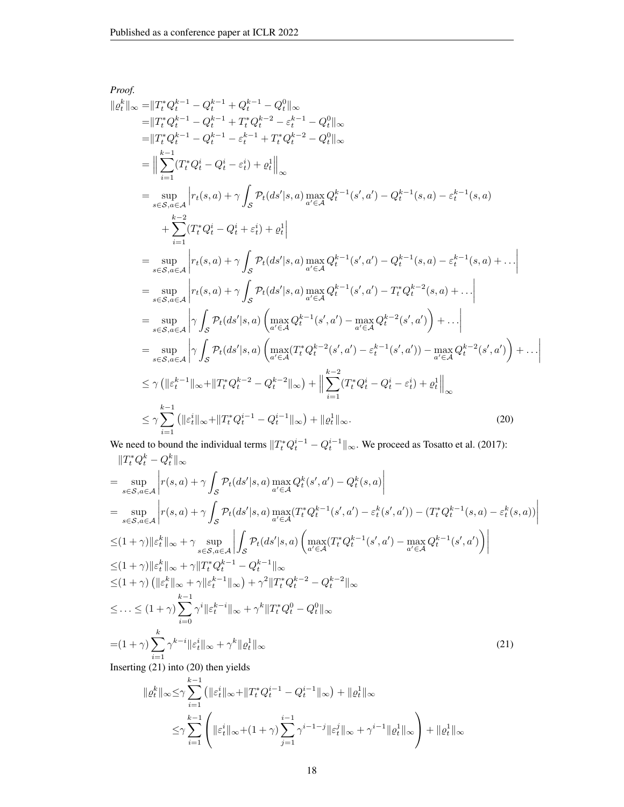Proof.  
\n
$$
\begin{split}\n&\|\varrho_{t}^{k}\|_{\infty} = \|T_{t}^{*}Q_{t}^{k-1} - Q_{t}^{k-1} + Q_{t}^{k-1} - Q_{t}^{0}\|_{\infty} \\
&= \|T_{t}^{*}Q_{t}^{k-1} - Q_{t}^{k-1} + T_{t}^{*}Q_{t}^{k-2} - e_{t}^{k-1} - Q_{t}^{0}\|_{\infty} \\
&= \|T_{t}^{*}Q_{t}^{k-1} - Q_{t}^{k-1} - \varepsilon_{t}^{k-1} + T_{t}^{*}Q_{t}^{k-2} - Q_{t}^{0}\|_{\infty} \\
&= \left\| \sum_{i=1}^{k-1} (T_{t}^{*}Q_{t}^{i} - Q_{t}^{i} - \varepsilon_{t}^{i}) + \varrho_{t}^{1} \right\|_{\infty} \\
&= \sup_{s \in S, a \in \mathcal{A}} \left| r_{t}(s, a) + \gamma \int_{S} \mathcal{P}_{t}(ds'|s, a) \max_{a' \in \mathcal{A}} Q_{t}^{k-1}(s', a') - Q_{t}^{k-1}(s, a) - \varepsilon_{t}^{k-1}(s, a) \right. \\
&\left. + \sum_{i=1}^{k-2} (T_{t}^{*}Q_{t}^{i} - Q_{t}^{i} + \varepsilon_{t}^{i}) + \varrho_{t}^{1} \right| \\
&= \sup_{s \in S, a \in \mathcal{A}} \left| r_{t}(s, a) + \gamma \int_{S} \mathcal{P}_{t}(ds'|s, a) \max_{a' \in \mathcal{A}} Q_{t}^{k-1}(s', a') - Q_{t}^{k-1}(s, a) - \varepsilon_{t}^{k-1}(s, a) + \dots \right| \\
&= \sup_{s \in S, a \in \mathcal{A}} \left| r_{t}(s, a) + \gamma \int_{S} \mathcal{P}_{t}(ds'|s, a) \max_{a' \in \mathcal{A}} Q_{t}^{k-1}(s', a') - T_{t}^{*}Q_{t}^{k-2}(s, a) + \dots \right| \\
&= \sup_{s \in S, a \in \mathcal{A}} \left| \gamma \int_{S} \mathcal{P}_{t}(ds'|s, a) \left( \max_{a' \in \mathcal{A}} Q_{t
$$

We need to bound the individual terms  $||T_t^*Q_t^{i-1} - Q_t^{i-1}||_{\infty}$ . We proceed as Tosatto et al. (2017):  $||T_t^*Q_t^k - Q_t^k||_{\infty}$ 

$$
= \sup_{s \in \mathcal{S}, a \in \mathcal{A}} \left| r(s, a) + \gamma \int_{\mathcal{S}} \mathcal{P}_t(ds'|s, a) \max_{a' \in \mathcal{A}} Q_t^k(s', a') - Q_t^k(s, a) \right|
$$
  
\n
$$
= \sup_{s \in \mathcal{S}, a \in \mathcal{A}} \left| r(s, a) + \gamma \int_{\mathcal{S}} \mathcal{P}_t(ds'|s, a) \max_{a' \in \mathcal{A}} (T_t^* Q_t^{k-1}(s', a') - \varepsilon_t^k(s', a')) - (T_t^* Q_t^{k-1}(s, a) - \varepsilon_t^k(s, a)) \right|
$$
  
\n
$$
\leq (1 + \gamma) \|\varepsilon_t^k\|_{\infty} + \gamma \sup_{s \in \mathcal{S}, a \in \mathcal{A}} \left| \int_{\mathcal{S}} \mathcal{P}_t(ds'|s, a) \left( \max_{a' \in \mathcal{A}} (T_t^* Q_t^{k-1}(s', a') - \max_{a' \in \mathcal{A}} Q_t^{k-1}(s', a') \right) \right|
$$
  
\n
$$
\leq (1 + \gamma) \|\varepsilon_t^k\|_{\infty} + \gamma \|T_t^* Q_t^{k-1} - Q_t^{k-1}\|_{\infty}
$$
  
\n
$$
\leq (1 + \gamma) \left( \|\varepsilon_t^k\|_{\infty} + \gamma\| \varepsilon_t^{k-1}\|_{\infty} \right) + \gamma^2 \|T_t^* Q_t^{k-2} - Q_t^{k-2}\|_{\infty}
$$
  
\n
$$
\leq \dots \leq (1 + \gamma) \sum_{i=0}^{k-1} \gamma^i \| \varepsilon_t^i \|_{\infty} + \gamma^k \|T_t^* Q_t^0 - Q_t^0\|_{\infty}
$$
  
\n
$$
= (1 + \gamma) \sum_{i=1}^k \gamma^{k-i} \| \varepsilon_t^i \|_{\infty} + \gamma^k \| \varrho_t^1 \|_{\infty}
$$
  
\nInserting (21) into (20) then yields

 $\overline{\phantom{a}}$  $\overline{\phantom{a}}$  $\overline{\phantom{a}}$  $\overline{\phantom{a}}$ 

$$
\begin{aligned} \| \varrho_t^k \|_\infty &\leq \!\gamma \sum_{i=1}^{k-1} \left( \| \varepsilon_t^i \|_\infty \! + \! \| T_t^* Q_t^{i-1} - Q_t^{i-1} \|_\infty \right) + \| \varrho_t^1 \|_\infty \\ &\leq \!\gamma \sum_{i=1}^{k-1} \left( \| \varepsilon_t^i \|_\infty \! + \! (1+\gamma) \sum_{j=1}^{i-1} \gamma^{i-1-j} \| \varepsilon_t^j \|_\infty + \gamma^{i-1} \| \varrho_t^1 \|_\infty \right) + \| \varrho_t^1 \|_\infty \end{aligned}
$$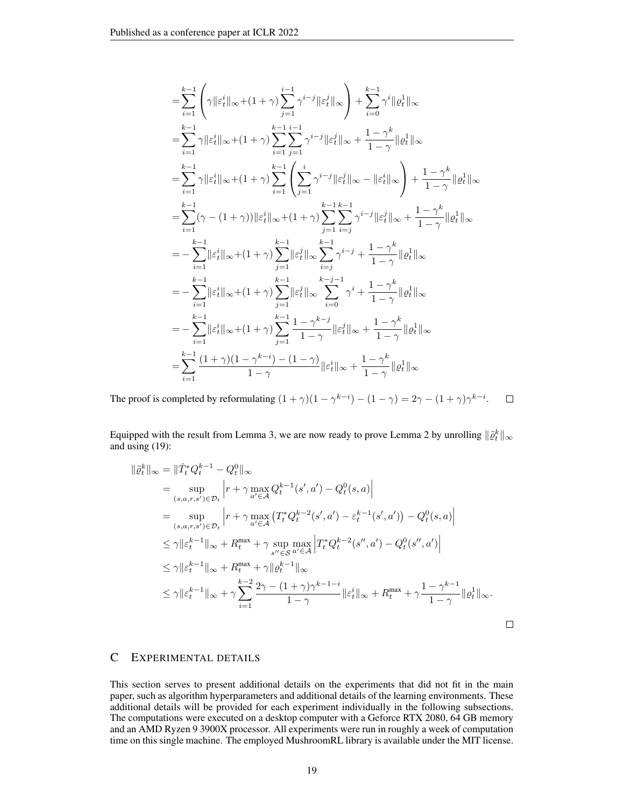$$
\begin{split} & = \sum_{i=1}^{k-1} \left( \gamma \|\varepsilon_{t}^{i}\|_{\infty} + (1+\gamma) \sum_{j=1}^{i-1} \gamma^{i-j} \|\varepsilon_{t}^{j}\|_{\infty} \right) + \sum_{i=0}^{k-1} \gamma^{i} \|\varrho_{t}^{1}\|_{\infty} \\ & = \sum_{i=1}^{k-1} \gamma \|\varepsilon_{t}^{i}\|_{\infty} + (1+\gamma) \sum_{i=1}^{k-1} \sum_{j=1}^{i-1} \gamma^{i-j} \|\varepsilon_{t}^{j}\|_{\infty} + \frac{1-\gamma^{k}}{1-\gamma} \|\varrho_{t}^{1}\|_{\infty} \\ & = \sum_{i=1}^{k-1} \gamma \|\varepsilon_{t}^{i}\|_{\infty} + (1+\gamma) \sum_{i=1}^{k-1} \left( \sum_{j=1}^{i} \gamma^{i-j} \|\varepsilon_{t}^{j}\|_{\infty} - \|\varepsilon_{t}^{i}\|_{\infty} \right) + \frac{1-\gamma^{k}}{1-\gamma} \|\varrho_{t}^{1}\|_{\infty} \\ & = \sum_{i=1}^{k-1} (\gamma - (1+\gamma)) \|\varepsilon_{t}^{i}\|_{\infty} + (1+\gamma) \sum_{j=1}^{k-1} \sum_{i=j}^{k-1} \gamma^{i-j} \|\varepsilon_{t}^{j}\|_{\infty} + \frac{1-\gamma^{k}}{1-\gamma} \|\varrho_{t}^{1}\|_{\infty} \\ & = - \sum_{i=1}^{k-1} \|\varepsilon_{t}^{i}\|_{\infty} + (1+\gamma) \sum_{j=1}^{k-1} \|\varepsilon_{t}^{j}\|_{\infty} \sum_{i=j}^{k-1} \gamma^{i-j} + \frac{1-\gamma^{k}}{1-\gamma} \|\varrho_{t}^{1}\|_{\infty} \\ & = - \sum_{i=1}^{k-1} \|\varepsilon_{t}^{i}\|_{\infty} + (1+\gamma) \sum_{j=1}^{k-1} \|\varepsilon_{t}^{j}\|_{\infty} \sum_{i=0}^{k-j-1} \gamma^{i} + \frac{1-\gamma^{k}}{1-\gamma} \|\varrho_{t}^{1}\|_{\infty} \\ & = - \sum_{i=1}^{k-1} \|\varepsilon_{t}^{i}\
$$

 $\Box$ The proof is completed by reformulating  $(1 + \gamma)(1 - \gamma^{k-i}) - (1 - \gamma) = 2\gamma - (1 + \gamma)\gamma^{k-i}$ .

Equipped with the result from Lemma 3, we are now ready to prove Lemma 2 by unrolling  $\|\tilde{\varrho}_t^k\|_{\infty}$ and using (19):

$$
\|\tilde{\varrho}_{t}^{k}\|_{\infty} = \|\hat{T}_{t}^{*}Q_{t}^{k-1} - Q_{t}^{0}\|_{\infty} \n= \sup_{(s,a,r,s') \in \mathcal{D}_{t}} \left| r + \gamma \max_{a' \in \mathcal{A}} Q_{t}^{k-1}(s',a') - Q_{t}^{0}(s,a) \right| \n= \sup_{(s,a,r,s') \in \mathcal{D}_{t}} \left| r + \gamma \max_{a' \in \mathcal{A}} \left( T_{t}^{*}Q_{t}^{k-2}(s',a') - \varepsilon_{t}^{k-1}(s',a') \right) - Q_{t}^{0}(s,a) \right| \n\leq \gamma \|\varepsilon_{t}^{k-1}\|_{\infty} + R_{t}^{\max} + \gamma \sup_{s'' \in \mathcal{S}} \max_{a' \in \mathcal{A}} \left| T_{t}^{*}Q_{t}^{k-2}(s'',a') - Q_{t}^{0}(s'',a') \right| \n\leq \gamma \|\varepsilon_{t}^{k-1}\|_{\infty} + R_{t}^{\max} + \gamma \| \varrho_{t}^{k-1}\|_{\infty} \n\leq \gamma \|\varepsilon_{t}^{k-1}\|_{\infty} + \gamma \sum_{i=1}^{k-2} \frac{2\gamma - (1+\gamma)\gamma^{k-1-i}}{1-\gamma} \|\varepsilon_{t}^{i}\|_{\infty} + R_{t}^{\max} + \gamma \frac{1-\gamma^{k-1}}{1-\gamma} \|\varrho_{t}^{1}\|_{\infty}.
$$

# C EXPERIMENTAL DETAILS

This section serves to present additional details on the experiments that did not fit in the main paper, such as algorithm hyperparameters and additional details of the learning environments. These additional details will be provided for each experiment individually in the following subsections. The computations were executed on a desktop computer with a Geforce RTX 2080, 64 GB memory and an AMD Ryzen 9 3900X processor. All experiments were run in roughly a week of computation time on this single machine. The employed MushroomRL library is available under the MIT license.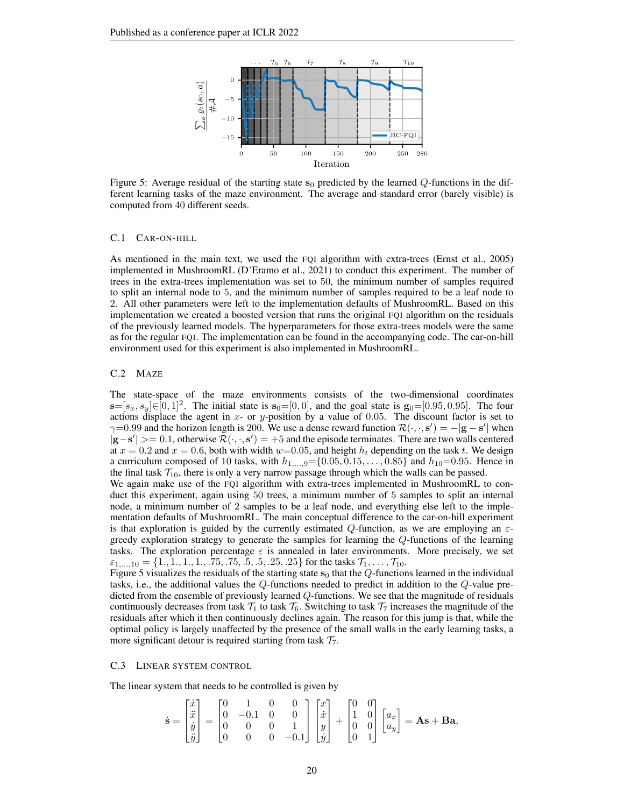

Figure 5: Average residual of the starting state  $s_0$  predicted by the learned Q-functions in the different learning tasks of the maze environment. The average and standard error (barely visible) is computed from 40 different seeds.

#### C.1 CAR-ON-HILL

As mentioned in the main text, we used the FQI algorithm with extra-trees (Ernst et al., 2005) implemented in MushroomRL (D'Eramo et al., 2021) to conduct this experiment. The number of trees in the extra-trees implementation was set to 50, the minimum number of samples required to split an internal node to 5, and the minimum number of samples required to be a leaf node to 2. All other parameters were left to the implementation defaults of MushroomRL. Based on this implementation we created a boosted version that runs the original FQI algorithm on the residuals of the previously learned models. The hyperparameters for those extra-trees models were the same as for the regular FQI. The implementation can be found in the accompanying code. The car-on-hill environment used for this experiment is also implemented in MushroomRL.

### C.2 MAZE

The state-space of the maze environments consists of the two-dimensional coordinates  $\mathbf{s}=[s_x,s_y] \in [0,1]^2$ . The initial state is  $\mathbf{s}_0=[0,0]$ , and the goal state is  $\mathbf{g}_0=[0.95,0.95]$ . The four actions displace the agent in  $x$ - or  $y$ -position by a value of 0.05. The discount factor is set to  $\gamma=0.99$  and the horizon length is 200. We use a dense reward function  $\mathcal{R}(\cdot,\cdot,\mathbf{s}') = -|\mathbf{g}-\mathbf{s}'|$  when  $|\mathbf{g}-\mathbf{s}'|> = 0.1$ , otherwise  $\mathcal{R}(\cdot,\cdot,\mathbf{s}') = +5$  and the episode terminates. There are two walls centered at  $x = 0.2$  and  $x = 0.6$ , both with width  $w=0.05$ , and height  $h_t$  depending on the task t. We design a curriculum composed of 10 tasks, with  $h_{1,...,9} = \{0.05, 0.15, ..., 0.85\}$  and  $h_{10} = 0.95$ . Hence in the final task  $\mathcal{T}_{10}$ , there is only a very narrow passage through which the walls can be passed.

We again make use of the FQI algorithm with extra-trees implemented in MushroomRL to conduct this experiment, again using 50 trees, a minimum number of 5 samples to split an internal node, a minimum number of 2 samples to be a leaf node, and everything else left to the implementation defaults of MushroomRL. The main conceptual difference to the car-on-hill experiment is that exploration is guided by the currently estimated Q-function, as we are employing an  $\varepsilon$ greedy exploration strategy to generate the samples for learning the Q-functions of the learning tasks. The exploration percentage  $\varepsilon$  is annealed in later environments. More precisely, we set  $\varepsilon_{1,...,10} = \{1., 1., 1., 1., .75, .75, .5, .5, .25, .25\}$  for the tasks  $\mathcal{T}_1, \ldots, \mathcal{T}_{10}$ .

Figure 5 visualizes the residuals of the starting state  $s_0$  that the  $Q$ -functions learned in the individual tasks, i.e., the additional values the Q-functions needed to predict in addition to the Q-value predicted from the ensemble of previously learned Q-functions. We see that the magnitude of residuals continuously decreases from task  $\mathcal{T}_1$  to task  $\mathcal{T}_6$ . Switching to task  $\mathcal{T}_7$  increases the magnitude of the residuals after which it then continuously declines again. The reason for this jump is that, while the optimal policy is largely unaffected by the presence of the small walls in the early learning tasks, a more significant detour is required starting from task  $\mathcal{T}_7$ .

### C.3 LINEAR SYSTEM CONTROL

The linear system that needs to be controlled is given by

$$
\dot{\mathbf{s}} = \begin{bmatrix} \dot{x} \\ \ddot{x} \\ \dot{y} \\ \ddot{y} \end{bmatrix} = \begin{bmatrix} 0 & 1 & 0 & 0 \\ 0 & -0.1 & 0 & 0 \\ 0 & 0 & 0 & 1 \\ 0 & 0 & 0 & -0.1 \end{bmatrix} \begin{bmatrix} x \\ \dot{x} \\ y \\ \dot{y} \end{bmatrix} + \begin{bmatrix} 0 & 0 \\ 1 & 0 \\ 0 & 0 \\ 0 & 1 \end{bmatrix} \begin{bmatrix} a_x \\ a_y \end{bmatrix} = \mathbf{A}\mathbf{s} + \mathbf{B}\mathbf{a},
$$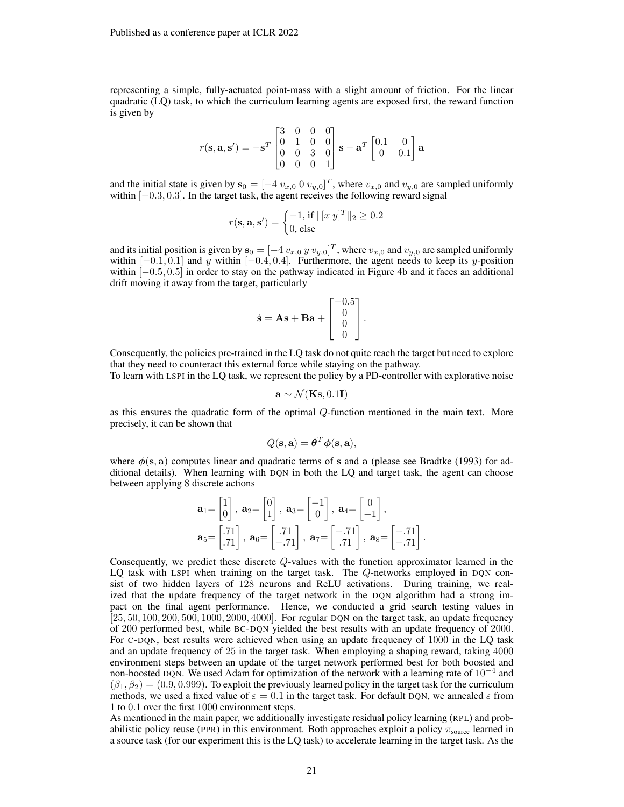representing a simple, fully-actuated point-mass with a slight amount of friction. For the linear quadratic (LQ) task, to which the curriculum learning agents are exposed first, the reward function is given by

$$
r(\mathbf{s}, \mathbf{a}, \mathbf{s}') = -\mathbf{s}^T \begin{bmatrix} 3 & 0 & 0 & 0 \\ 0 & 1 & 0 & 0 \\ 0 & 0 & 3 & 0 \\ 0 & 0 & 0 & 1 \end{bmatrix} \mathbf{s} - \mathbf{a}^T \begin{bmatrix} 0.1 & 0 \\ 0 & 0.1 \end{bmatrix} \mathbf{a}
$$

and the initial state is given by  $\mathbf{s}_0 = [-4 \ v_{x,0} \ 0 \ v_{y,0}]^T$ , where  $v_{x,0}$  and  $v_{y,0}$  are sampled uniformly within  $[-0.3, 0.3]$ . In the target task, the agent receives the following reward signal

$$
r(\mathbf{s}, \mathbf{a}, \mathbf{s}') = \begin{cases} -1, \text{ if } ||[x \ y]^T||_2 \ge 0.2\\ 0, \text{ else} \end{cases}
$$

and its initial position is given by  $\mathbf{s}_0 = [-4 \, v_{x,0} \, y \, v_{y,0}]^T$ , where  $v_{x,0}$  and  $v_{y,0}$  are sampled uniformly within  $[-0.1, 0.1]$  and y within  $[-0.4, 0.4]$ . Furthermore, the agent needs to keep its y-position within [−0.5, 0.5] in order to stay on the pathway indicated in Figure 4b and it faces an additional drift moving it away from the target, particularly

$$
\dot{\mathbf{s}} = \mathbf{A}\mathbf{s} + \mathbf{B}\mathbf{a} + \begin{bmatrix} -0.5\\ 0\\ 0\\ 0 \end{bmatrix}.
$$

Consequently, the policies pre-trained in the LQ task do not quite reach the target but need to explore that they need to counteract this external force while staying on the pathway.

To learn with LSPI in the LQ task, we represent the policy by a PD-controller with explorative noise

$$
\mathbf{a} \sim \mathcal{N}(\mathbf{K}\mathbf{s}, 0.1\mathbf{I})
$$

as this ensures the quadratic form of the optimal Q-function mentioned in the main text. More precisely, it can be shown that

$$
Q(\mathbf{s}, \mathbf{a}) = \boldsymbol{\theta}^T \boldsymbol{\phi}(\mathbf{s}, \mathbf{a}),
$$

where  $\phi(s, a)$  computes linear and quadratic terms of s and a (please see Bradtke (1993) for additional details). When learning with DQN in both the LQ and target task, the agent can choose between applying 8 discrete actions

$$
\mathbf{a}_1 = \begin{bmatrix} 1 \\ 0 \end{bmatrix}, \ \mathbf{a}_2 = \begin{bmatrix} 0 \\ 1 \end{bmatrix}, \ \mathbf{a}_3 = \begin{bmatrix} -1 \\ 0 \end{bmatrix}, \ \mathbf{a}_4 = \begin{bmatrix} 0 \\ -1 \end{bmatrix},
$$

$$
\mathbf{a}_5 = \begin{bmatrix} .71 \\ .71 \end{bmatrix}, \ \mathbf{a}_6 = \begin{bmatrix} .71 \\ -.71 \end{bmatrix}, \ \mathbf{a}_7 = \begin{bmatrix} -.71 \\ .71 \end{bmatrix}, \ \mathbf{a}_8 = \begin{bmatrix} -.71 \\ -.71 \end{bmatrix}.
$$

Consequently, we predict these discrete Q-values with the function approximator learned in the LQ task with LSPI when training on the target task. The Q-networks employed in DQN consist of two hidden layers of 128 neurons and ReLU activations. During training, we realized that the update frequency of the target network in the DQN algorithm had a strong impact on the final agent performance. Hence, we conducted a grid search testing values in  $\left[25, 50, 100, 200, 500, 1000, 2000, 4000\right]$ . For regular DQN on the target task, an update frequency of 200 performed best, while BC-DQN yielded the best results with an update frequency of 2000. For C-DQN, best results were achieved when using an update frequency of 1000 in the LQ task and an update frequency of 25 in the target task. When employing a shaping reward, taking 4000 environment steps between an update of the target network performed best for both boosted and non-boosted DQN. We used Adam for optimization of the network with a learning rate of  $10^{-4}$  and  $(\beta_1, \beta_2) = (0.9, 0.999)$ . To exploit the previously learned policy in the target task for the curriculum methods, we used a fixed value of  $\varepsilon = 0.1$  in the target task. For default DQN, we annealed  $\varepsilon$  from 1 to 0.1 over the first 1000 environment steps.

As mentioned in the main paper, we additionally investigate residual policy learning (RPL) and probabilistic policy reuse (PPR) in this environment. Both approaches exploit a policy  $\pi_{source}$  learned in a source task (for our experiment this is the LQ task) to accelerate learning in the target task. As the